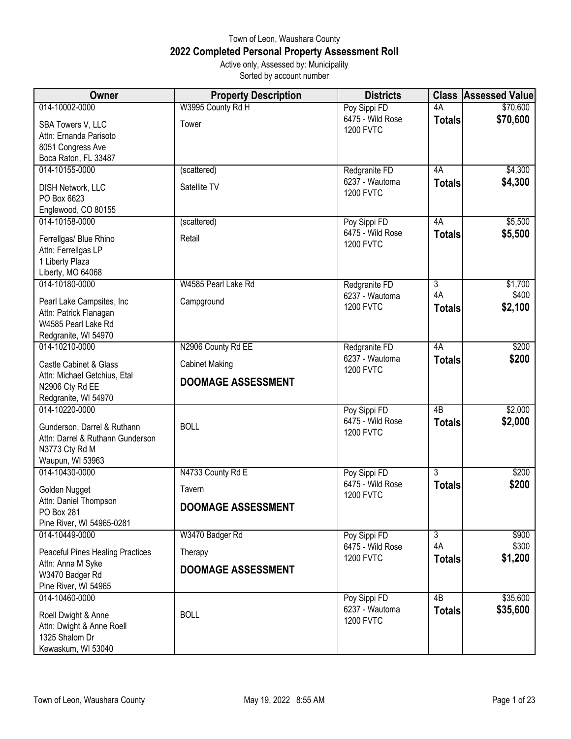## Town of Leon, Waushara County **2022 Completed Personal Property Assessment Roll** Active only, Assessed by: Municipality

Sorted by account number

| Owner                                   | <b>Property Description</b> | <b>Districts</b>                     | <b>Class</b>   | <b>Assessed Value</b> |
|-----------------------------------------|-----------------------------|--------------------------------------|----------------|-----------------------|
| 014-10002-0000                          | W3995 County Rd H           | Poy Sippi FD                         | 4A             | \$70,600              |
| SBA Towers V, LLC                       | Tower                       | 6475 - Wild Rose                     | <b>Totals</b>  | \$70,600              |
| Attn: Ernanda Parisoto                  |                             | <b>1200 FVTC</b>                     |                |                       |
| 8051 Congress Ave                       |                             |                                      |                |                       |
| Boca Raton, FL 33487                    |                             |                                      |                |                       |
| 014-10155-0000                          | (scattered)                 | Redgranite FD                        | 4A             | \$4,300               |
| DISH Network, LLC                       | Satellite TV                | 6237 - Wautoma                       | <b>Totals</b>  | \$4,300               |
| PO Box 6623                             |                             | <b>1200 FVTC</b>                     |                |                       |
| Englewood, CO 80155                     |                             |                                      |                |                       |
| 014-10158-0000                          | (scattered)                 | Poy Sippi FD                         | 4A             | \$5,500               |
| Ferrellgas/ Blue Rhino                  | Retail                      | 6475 - Wild Rose                     | <b>Totals</b>  | \$5,500               |
| Attn: Ferrellgas LP                     |                             | <b>1200 FVTC</b>                     |                |                       |
| 1 Liberty Plaza                         |                             |                                      |                |                       |
| Liberty, MO 64068                       |                             |                                      |                |                       |
| 014-10180-0000                          | W4585 Pearl Lake Rd         | Redgranite FD                        | $\overline{3}$ | \$1,700               |
| Pearl Lake Campsites, Inc               | Campground                  | 6237 - Wautoma                       | 4A             | \$400                 |
| Attn: Patrick Flanagan                  |                             | <b>1200 FVTC</b>                     | <b>Totals</b>  | \$2,100               |
| W4585 Pearl Lake Rd                     |                             |                                      |                |                       |
| Redgranite, WI 54970                    |                             |                                      |                |                       |
| 014-10210-0000                          | N2906 County Rd EE          | Redgranite FD                        | 4A             | \$200                 |
| <b>Castle Cabinet &amp; Glass</b>       | <b>Cabinet Making</b>       | 6237 - Wautoma                       | <b>Totals</b>  | \$200                 |
| Attn: Michael Getchius, Etal            |                             | <b>1200 FVTC</b>                     |                |                       |
| N2906 Cty Rd EE                         | <b>DOOMAGE ASSESSMENT</b>   |                                      |                |                       |
| Redgranite, WI 54970                    |                             |                                      |                |                       |
| 014-10220-0000                          |                             | Poy Sippi FD                         | 4B             | \$2,000               |
| Gunderson, Darrel & Ruthann             | <b>BOLL</b>                 | 6475 - Wild Rose                     | <b>Totals</b>  | \$2,000               |
| Attn: Darrel & Ruthann Gunderson        |                             | <b>1200 FVTC</b>                     |                |                       |
| N3773 Cty Rd M                          |                             |                                      |                |                       |
| Waupun, WI 53963                        |                             |                                      |                |                       |
| 014-10430-0000                          | N4733 County Rd E           | Poy Sippi FD                         | $\overline{3}$ | \$200                 |
| Golden Nugget                           | Tavern                      | 6475 - Wild Rose<br><b>1200 FVTC</b> | <b>Totals</b>  | \$200                 |
| Attn: Daniel Thompson                   | DOOMAGE ASSESSMENT          |                                      |                |                       |
| PO Box 281<br>Pine River, WI 54965-0281 |                             |                                      |                |                       |
| 014-10449-0000                          | W3470 Badger Rd             | Poy Sippi FD                         | $\overline{3}$ | \$900                 |
| <b>Peaceful Pines Healing Practices</b> | Therapy                     | 6475 - Wild Rose                     | 4A             | \$300                 |
| Attn: Anna M Syke                       |                             | <b>1200 FVTC</b>                     | <b>Totals</b>  | \$1,200               |
| W3470 Badger Rd                         | <b>DOOMAGE ASSESSMENT</b>   |                                      |                |                       |
| Pine River, WI 54965                    |                             |                                      |                |                       |
| 014-10460-0000                          |                             | Poy Sippi FD                         | 4B             | \$35,600              |
| Roell Dwight & Anne                     | <b>BOLL</b>                 | 6237 - Wautoma                       | <b>Totals</b>  | \$35,600              |
| Attn: Dwight & Anne Roell               |                             | <b>1200 FVTC</b>                     |                |                       |
| 1325 Shalom Dr                          |                             |                                      |                |                       |
| Kewaskum, WI 53040                      |                             |                                      |                |                       |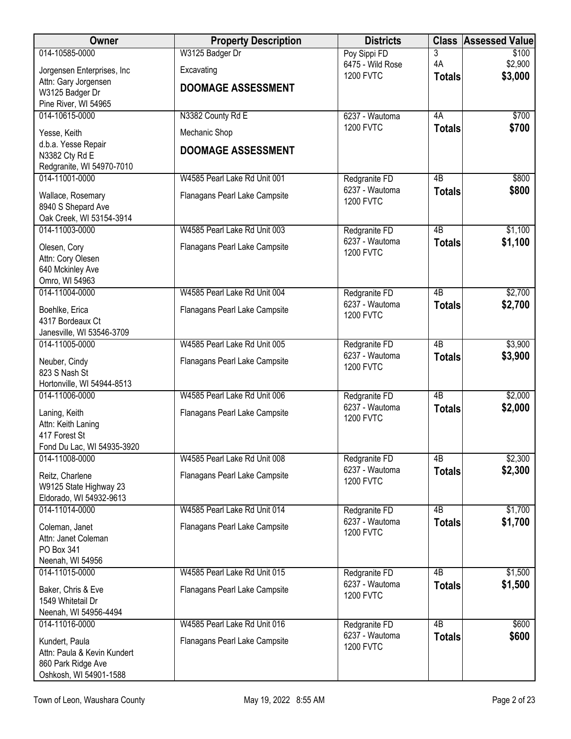| Owner                                             | <b>Property Description</b>   | <b>Districts</b>                     |                 | <b>Class Assessed Value</b> |
|---------------------------------------------------|-------------------------------|--------------------------------------|-----------------|-----------------------------|
| 014-10585-0000                                    | W3125 Badger Dr               | Poy Sippi FD                         | 3<br>4A         | \$100                       |
| Jorgensen Enterprises, Inc                        | Excavating                    | 6475 - Wild Rose<br><b>1200 FVTC</b> | <b>Totals</b>   | \$2,900<br>\$3,000          |
| Attn: Gary Jorgensen<br>W3125 Badger Dr           | <b>DOOMAGE ASSESSMENT</b>     |                                      |                 |                             |
| Pine River, WI 54965                              |                               |                                      |                 |                             |
| 014-10615-0000                                    | N3382 County Rd E             | 6237 - Wautoma                       | 4A              | \$700                       |
| Yesse, Keith                                      | Mechanic Shop                 | <b>1200 FVTC</b>                     | <b>Totals</b>   | \$700                       |
| d.b.a. Yesse Repair                               | <b>DOOMAGE ASSESSMENT</b>     |                                      |                 |                             |
| N3382 Cty Rd E                                    |                               |                                      |                 |                             |
| Redgranite, WI 54970-7010<br>014-11001-0000       | W4585 Pearl Lake Rd Unit 001  | Redgranite FD                        | 4B              | \$800                       |
|                                                   |                               | 6237 - Wautoma                       | <b>Totals</b>   | \$800                       |
| Wallace, Rosemary<br>8940 S Shepard Ave           | Flanagans Pearl Lake Campsite | <b>1200 FVTC</b>                     |                 |                             |
| Oak Creek, WI 53154-3914                          |                               |                                      |                 |                             |
| 014-11003-0000                                    | W4585 Pearl Lake Rd Unit 003  | Redgranite FD                        | $\overline{AB}$ | \$1,100                     |
| Olesen, Cory                                      | Flanagans Pearl Lake Campsite | 6237 - Wautoma<br><b>1200 FVTC</b>   | <b>Totals</b>   | \$1,100                     |
| Attn: Cory Olesen                                 |                               |                                      |                 |                             |
| 640 Mckinley Ave<br>Omro, WI 54963                |                               |                                      |                 |                             |
| 014-11004-0000                                    | W4585 Pearl Lake Rd Unit 004  | Redgranite FD                        | $\overline{AB}$ | \$2,700                     |
| Boehlke, Erica                                    | Flanagans Pearl Lake Campsite | 6237 - Wautoma                       | <b>Totals</b>   | \$2,700                     |
| 4317 Bordeaux Ct                                  |                               | <b>1200 FVTC</b>                     |                 |                             |
| Janesville, WI 53546-3709                         |                               |                                      |                 |                             |
| 014-11005-0000                                    | W4585 Pearl Lake Rd Unit 005  | Redgranite FD                        | $\overline{AB}$ | \$3,900                     |
| Neuber, Cindy                                     | Flanagans Pearl Lake Campsite | 6237 - Wautoma<br><b>1200 FVTC</b>   | <b>Totals</b>   | \$3,900                     |
| 823 S Nash St                                     |                               |                                      |                 |                             |
| Hortonville, WI 54944-8513<br>014-11006-0000      | W4585 Pearl Lake Rd Unit 006  | Redgranite FD                        | $\overline{AB}$ | \$2,000                     |
|                                                   |                               | 6237 - Wautoma                       | <b>Totals</b>   | \$2,000                     |
| Laning, Keith<br>Attn: Keith Laning               | Flanagans Pearl Lake Campsite | <b>1200 FVTC</b>                     |                 |                             |
| 417 Forest St                                     |                               |                                      |                 |                             |
| Fond Du Lac, WI 54935-3920                        |                               |                                      |                 |                             |
| 014-11008-0000                                    | W4585 Pearl Lake Rd Unit 008  | Redgranite FD<br>6237 - Wautoma      | 4B              | \$2,300<br>\$2,300          |
| Reitz, Charlene                                   | Flanagans Pearl Lake Campsite | <b>1200 FVTC</b>                     | <b>Totals</b>   |                             |
| W9125 State Highway 23<br>Eldorado, WI 54932-9613 |                               |                                      |                 |                             |
| 014-11014-0000                                    | W4585 Pearl Lake Rd Unit 014  | Redgranite FD                        | 4B              | \$1,700                     |
| Coleman, Janet                                    | Flanagans Pearl Lake Campsite | 6237 - Wautoma                       | <b>Totals</b>   | \$1,700                     |
| Attn: Janet Coleman                               |                               | <b>1200 FVTC</b>                     |                 |                             |
| PO Box 341                                        |                               |                                      |                 |                             |
| Neenah, WI 54956<br>014-11015-0000                | W4585 Pearl Lake Rd Unit 015  | Redgranite FD                        | 4B              | \$1,500                     |
|                                                   |                               | 6237 - Wautoma                       | <b>Totals</b>   | \$1,500                     |
| Baker, Chris & Eve<br>1549 Whitetail Dr           | Flanagans Pearl Lake Campsite | <b>1200 FVTC</b>                     |                 |                             |
| Neenah, WI 54956-4494                             |                               |                                      |                 |                             |
| 014-11016-0000                                    | W4585 Pearl Lake Rd Unit 016  | Redgranite FD                        | $\overline{AB}$ | \$600                       |
| Kundert, Paula                                    | Flanagans Pearl Lake Campsite | 6237 - Wautoma<br><b>1200 FVTC</b>   | <b>Totals</b>   | \$600                       |
| Attn: Paula & Kevin Kundert                       |                               |                                      |                 |                             |
| 860 Park Ridge Ave<br>Oshkosh, WI 54901-1588      |                               |                                      |                 |                             |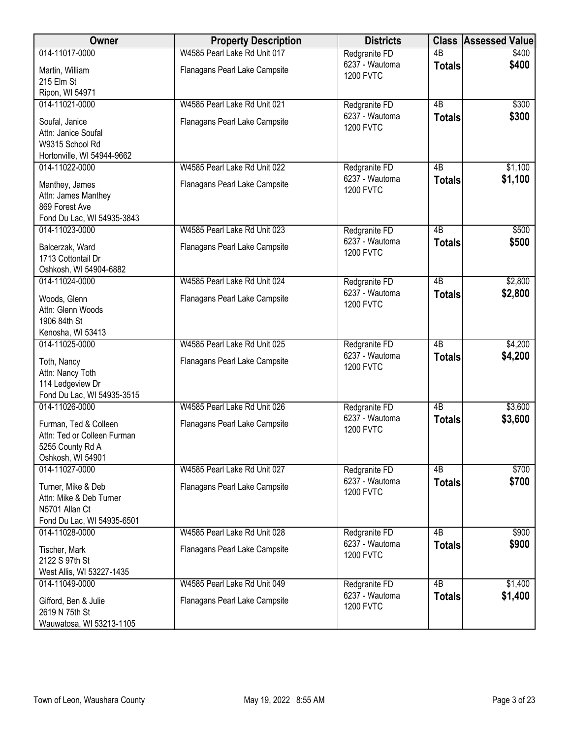| Owner                                                                                         | <b>Property Description</b>   | <b>Districts</b>                   | <b>Class</b>    | <b>Assessed Value</b> |
|-----------------------------------------------------------------------------------------------|-------------------------------|------------------------------------|-----------------|-----------------------|
| 014-11017-0000                                                                                | W4585 Pearl Lake Rd Unit 017  | Redgranite FD                      | $\overline{AB}$ | \$400                 |
| Martin, William<br>215 Elm St                                                                 | Flanagans Pearl Lake Campsite | 6237 - Wautoma<br><b>1200 FVTC</b> | <b>Totals</b>   | \$400                 |
| Ripon, WI 54971                                                                               |                               |                                    |                 |                       |
| 014-11021-0000                                                                                | W4585 Pearl Lake Rd Unit 021  | Redgranite FD                      | $\overline{AB}$ | \$300                 |
| Soufal, Janice<br>Attn: Janice Soufal<br>W9315 School Rd                                      | Flanagans Pearl Lake Campsite | 6237 - Wautoma<br><b>1200 FVTC</b> | <b>Totals</b>   | \$300                 |
| Hortonville, WI 54944-9662<br>014-11022-0000                                                  | W4585 Pearl Lake Rd Unit 022  | Redgranite FD                      | 4B              | \$1,100               |
| Manthey, James<br>Attn: James Manthey<br>869 Forest Ave<br>Fond Du Lac, WI 54935-3843         | Flanagans Pearl Lake Campsite | 6237 - Wautoma<br><b>1200 FVTC</b> | <b>Totals</b>   | \$1,100               |
| 014-11023-0000                                                                                | W4585 Pearl Lake Rd Unit 023  | Redgranite FD                      | 4B              | \$500                 |
| Balcerzak, Ward<br>1713 Cottontail Dr<br>Oshkosh, WI 54904-6882                               | Flanagans Pearl Lake Campsite | 6237 - Wautoma<br><b>1200 FVTC</b> | <b>Totals</b>   | \$500                 |
| 014-11024-0000                                                                                | W4585 Pearl Lake Rd Unit 024  | Redgranite FD                      | $\overline{AB}$ | \$2,800               |
| Woods, Glenn<br>Attn: Glenn Woods<br>1906 84th St<br>Kenosha, WI 53413                        | Flanagans Pearl Lake Campsite | 6237 - Wautoma<br><b>1200 FVTC</b> | <b>Totals</b>   | \$2,800               |
| 014-11025-0000                                                                                | W4585 Pearl Lake Rd Unit 025  | Redgranite FD                      | $\overline{AB}$ | \$4,200               |
| Toth, Nancy<br>Attn: Nancy Toth<br>114 Ledgeview Dr<br>Fond Du Lac, WI 54935-3515             | Flanagans Pearl Lake Campsite | 6237 - Wautoma<br><b>1200 FVTC</b> | <b>Totals</b>   | \$4,200               |
| 014-11026-0000                                                                                | W4585 Pearl Lake Rd Unit 026  | Redgranite FD                      | 4B              | \$3,600               |
| Furman, Ted & Colleen<br>Attn: Ted or Colleen Furman<br>5255 County Rd A<br>Oshkosh, WI 54901 | Flanagans Pearl Lake Campsite | 6237 - Wautoma<br><b>1200 FVTC</b> | <b>Totals</b>   | \$3,600               |
| 014-11027-0000                                                                                | W4585 Pearl Lake Rd Unit 027  | Redgranite FD                      | 4B              | \$700                 |
| Turner, Mike & Deb<br>Attn: Mike & Deb Turner<br>N5701 Allan Ct<br>Fond Du Lac, WI 54935-6501 | Flanagans Pearl Lake Campsite | 6237 - Wautoma<br><b>1200 FVTC</b> | <b>Totals</b>   | \$700                 |
| 014-11028-0000                                                                                | W4585 Pearl Lake Rd Unit 028  | Redgranite FD                      | 4 <sub>B</sub>  | \$900                 |
| Tischer, Mark<br>2122 S 97th St<br>West Allis, WI 53227-1435                                  | Flanagans Pearl Lake Campsite | 6237 - Wautoma<br><b>1200 FVTC</b> | <b>Totals</b>   | \$900                 |
| 014-11049-0000                                                                                | W4585 Pearl Lake Rd Unit 049  | Redgranite FD                      | $\overline{AB}$ | \$1,400               |
| Gifford, Ben & Julie<br>2619 N 75th St<br>Wauwatosa, WI 53213-1105                            | Flanagans Pearl Lake Campsite | 6237 - Wautoma<br><b>1200 FVTC</b> | <b>Totals</b>   | \$1,400               |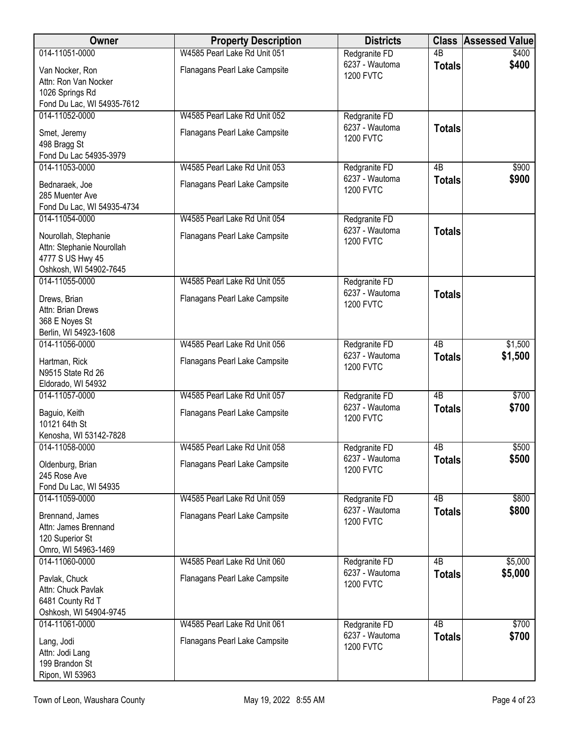| <b>Owner</b>                                      | <b>Property Description</b>   | <b>Districts</b>                   | <b>Class</b>    | <b>Assessed Value</b> |
|---------------------------------------------------|-------------------------------|------------------------------------|-----------------|-----------------------|
| 014-11051-0000                                    | W4585 Pearl Lake Rd Unit 051  | Redgranite FD                      | $\overline{AB}$ | \$400                 |
| Van Nocker, Ron<br>Attn: Ron Van Nocker           | Flanagans Pearl Lake Campsite | 6237 - Wautoma<br><b>1200 FVTC</b> | <b>Totals</b>   | \$400                 |
| 1026 Springs Rd<br>Fond Du Lac, WI 54935-7612     |                               |                                    |                 |                       |
| 014-11052-0000                                    | W4585 Pearl Lake Rd Unit 052  | Redgranite FD                      |                 |                       |
| Smet, Jeremy<br>498 Bragg St                      | Flanagans Pearl Lake Campsite | 6237 - Wautoma<br><b>1200 FVTC</b> | <b>Totals</b>   |                       |
| Fond Du Lac 54935-3979<br>014-11053-0000          | W4585 Pearl Lake Rd Unit 053  | Redgranite FD                      | 4B              | \$900                 |
|                                                   |                               | 6237 - Wautoma                     | <b>Totals</b>   | \$900                 |
| Bednaraek, Joe<br>285 Muenter Ave                 | Flanagans Pearl Lake Campsite | <b>1200 FVTC</b>                   |                 |                       |
| Fond Du Lac, WI 54935-4734<br>014-11054-0000      | W4585 Pearl Lake Rd Unit 054  | Redgranite FD                      |                 |                       |
|                                                   |                               | 6237 - Wautoma                     | <b>Totals</b>   |                       |
| Nourollah, Stephanie<br>Attn: Stephanie Nourollah | Flanagans Pearl Lake Campsite | <b>1200 FVTC</b>                   |                 |                       |
| 4777 S US Hwy 45                                  |                               |                                    |                 |                       |
| Oshkosh, WI 54902-7645                            |                               |                                    |                 |                       |
| 014-11055-0000                                    | W4585 Pearl Lake Rd Unit 055  | Redgranite FD                      |                 |                       |
| Drews, Brian                                      | Flanagans Pearl Lake Campsite | 6237 - Wautoma<br><b>1200 FVTC</b> | <b>Totals</b>   |                       |
| Attn: Brian Drews                                 |                               |                                    |                 |                       |
| 368 E Noyes St                                    |                               |                                    |                 |                       |
| Berlin, WI 54923-1608<br>014-11056-0000           | W4585 Pearl Lake Rd Unit 056  |                                    | $\overline{AB}$ | \$1,500               |
|                                                   |                               | Redgranite FD<br>6237 - Wautoma    | <b>Totals</b>   | \$1,500               |
| Hartman, Rick                                     | Flanagans Pearl Lake Campsite | <b>1200 FVTC</b>                   |                 |                       |
| N9515 State Rd 26                                 |                               |                                    |                 |                       |
| Eldorado, WI 54932<br>014-11057-0000              | W4585 Pearl Lake Rd Unit 057  | Redgranite FD                      | $\overline{AB}$ | \$700                 |
|                                                   |                               | 6237 - Wautoma                     | <b>Totals</b>   | \$700                 |
| Baguio, Keith                                     | Flanagans Pearl Lake Campsite | <b>1200 FVTC</b>                   |                 |                       |
| 10121 64th St<br>Kenosha, WI 53142-7828           |                               |                                    |                 |                       |
| 014-11058-0000                                    | W4585 Pearl Lake Rd Unit 058  | Redgranite <sub>FD</sub>           | 4 <sub>B</sub>  | \$500                 |
|                                                   |                               | 6237 - Wautoma                     | <b>Totals</b>   | \$500                 |
| Oldenburg, Brian<br>245 Rose Ave                  | Flanagans Pearl Lake Campsite | <b>1200 FVTC</b>                   |                 |                       |
| Fond Du Lac, WI 54935                             |                               |                                    |                 |                       |
| 014-11059-0000                                    | W4585 Pearl Lake Rd Unit 059  | Redgranite FD                      | 4B              | \$800                 |
|                                                   |                               | 6237 - Wautoma                     | <b>Totals</b>   | \$800                 |
| Brennand, James<br>Attn: James Brennand           | Flanagans Pearl Lake Campsite | <b>1200 FVTC</b>                   |                 |                       |
| 120 Superior St                                   |                               |                                    |                 |                       |
| Omro, WI 54963-1469                               |                               |                                    |                 |                       |
| 014-11060-0000                                    | W4585 Pearl Lake Rd Unit 060  | Redgranite FD                      | 4B              | \$5,000               |
| Pavlak, Chuck                                     | Flanagans Pearl Lake Campsite | 6237 - Wautoma                     | <b>Totals</b>   | \$5,000               |
| Attn: Chuck Pavlak                                |                               | <b>1200 FVTC</b>                   |                 |                       |
| 6481 County Rd T                                  |                               |                                    |                 |                       |
| Oshkosh, WI 54904-9745                            |                               |                                    |                 |                       |
| 014-11061-0000                                    | W4585 Pearl Lake Rd Unit 061  | Redgranite FD                      | 4B              | \$700                 |
| Lang, Jodi                                        | Flanagans Pearl Lake Campsite | 6237 - Wautoma                     | <b>Totals</b>   | \$700                 |
| Attn: Jodi Lang                                   |                               | <b>1200 FVTC</b>                   |                 |                       |
| 199 Brandon St                                    |                               |                                    |                 |                       |
| Ripon, WI 53963                                   |                               |                                    |                 |                       |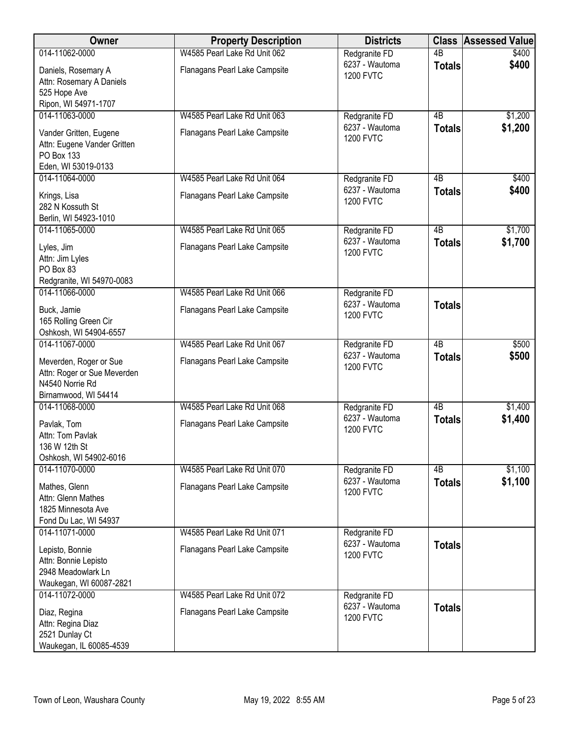| Owner                                                                                            | <b>Property Description</b>   | <b>Districts</b>                   | <b>Class</b>    | <b>Assessed Value</b> |
|--------------------------------------------------------------------------------------------------|-------------------------------|------------------------------------|-----------------|-----------------------|
| 014-11062-0000                                                                                   | W4585 Pearl Lake Rd Unit 062  | Redgranite FD                      | $\overline{AB}$ | \$400                 |
| Daniels, Rosemary A<br>Attn: Rosemary A Daniels<br>525 Hope Ave<br>Ripon, WI 54971-1707          | Flanagans Pearl Lake Campsite | 6237 - Wautoma<br><b>1200 FVTC</b> | <b>Totals</b>   | \$400                 |
| 014-11063-0000                                                                                   | W4585 Pearl Lake Rd Unit 063  | Redgranite FD                      | 4B              | \$1,200               |
| Vander Gritten, Eugene<br>Attn: Eugene Vander Gritten<br>PO Box 133<br>Eden, WI 53019-0133       | Flanagans Pearl Lake Campsite | 6237 - Wautoma<br><b>1200 FVTC</b> | <b>Totals</b>   | \$1,200               |
| 014-11064-0000                                                                                   | W4585 Pearl Lake Rd Unit 064  | Redgranite FD                      | 4B              | \$400                 |
| Krings, Lisa<br>282 N Kossuth St<br>Berlin, WI 54923-1010                                        | Flanagans Pearl Lake Campsite | 6237 - Wautoma<br><b>1200 FVTC</b> | <b>Totals</b>   | \$400                 |
| 014-11065-0000                                                                                   | W4585 Pearl Lake Rd Unit 065  | Redgranite FD                      | 4B              | \$1,700               |
| Lyles, Jim<br>Attn: Jim Lyles<br>PO Box 83<br>Redgranite, WI 54970-0083                          | Flanagans Pearl Lake Campsite | 6237 - Wautoma<br><b>1200 FVTC</b> | <b>Totals</b>   | \$1,700               |
| 014-11066-0000                                                                                   | W4585 Pearl Lake Rd Unit 066  | Redgranite FD                      |                 |                       |
| Buck, Jamie<br>165 Rolling Green Cir<br>Oshkosh, WI 54904-6557                                   | Flanagans Pearl Lake Campsite | 6237 - Wautoma<br><b>1200 FVTC</b> | <b>Totals</b>   |                       |
| 014-11067-0000                                                                                   | W4585 Pearl Lake Rd Unit 067  | Redgranite FD                      | $\overline{AB}$ | \$500                 |
| Meverden, Roger or Sue<br>Attn: Roger or Sue Meverden<br>N4540 Norrie Rd<br>Birnamwood, WI 54414 | Flanagans Pearl Lake Campsite | 6237 - Wautoma<br><b>1200 FVTC</b> | <b>Totals</b>   | \$500                 |
| 014-11068-0000                                                                                   | W4585 Pearl Lake Rd Unit 068  | Redgranite FD                      | $\overline{AB}$ | \$1,400               |
| Pavlak, Tom<br>Attn: Tom Pavlak<br>136 W 12th St<br>Oshkosh, WI 54902-6016                       | Flanagans Pearl Lake Campsite | 6237 - Wautoma<br><b>1200 FVTC</b> | <b>Totals</b>   | \$1,400               |
| 014-11070-0000                                                                                   | W4585 Pearl Lake Rd Unit 070  | Redgranite FD                      | 4B              | \$1,100               |
| Mathes, Glenn<br>Attn: Glenn Mathes<br>1825 Minnesota Ave<br>Fond Du Lac, WI 54937               | Flanagans Pearl Lake Campsite | 6237 - Wautoma<br><b>1200 FVTC</b> | <b>Totals</b>   | \$1,100               |
| 014-11071-0000                                                                                   | W4585 Pearl Lake Rd Unit 071  | Redgranite FD                      |                 |                       |
| Lepisto, Bonnie<br>Attn: Bonnie Lepisto<br>2948 Meadowlark Ln<br>Waukegan, WI 60087-2821         | Flanagans Pearl Lake Campsite | 6237 - Wautoma<br><b>1200 FVTC</b> | <b>Totals</b>   |                       |
| 014-11072-0000                                                                                   | W4585 Pearl Lake Rd Unit 072  | Redgranite FD                      |                 |                       |
| Diaz, Regina<br>Attn: Regina Diaz<br>2521 Dunlay Ct<br>Waukegan, IL 60085-4539                   | Flanagans Pearl Lake Campsite | 6237 - Wautoma<br><b>1200 FVTC</b> | <b>Totals</b>   |                       |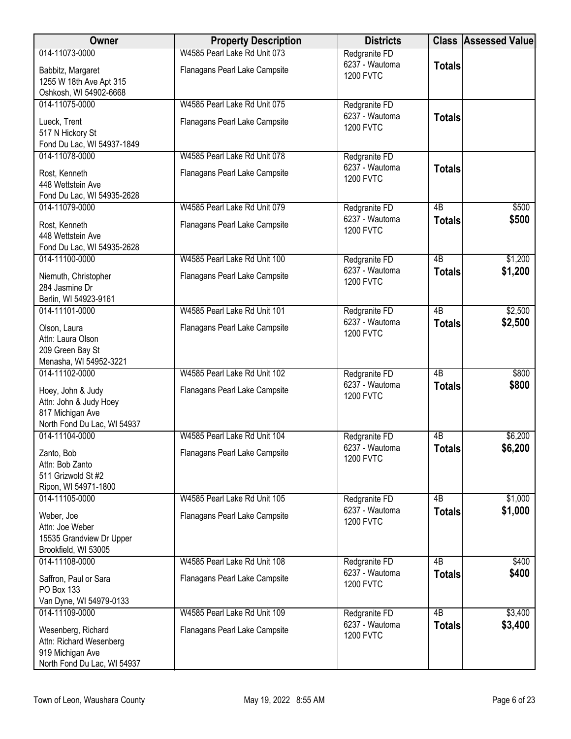| Owner                                                                                            | <b>Property Description</b>   | <b>Districts</b>                   |                 | <b>Class Assessed Value</b> |
|--------------------------------------------------------------------------------------------------|-------------------------------|------------------------------------|-----------------|-----------------------------|
| 014-11073-0000                                                                                   | W4585 Pearl Lake Rd Unit 073  | Redgranite FD                      |                 |                             |
| Babbitz, Margaret<br>1255 W 18th Ave Apt 315                                                     | Flanagans Pearl Lake Campsite | 6237 - Wautoma<br><b>1200 FVTC</b> | <b>Totals</b>   |                             |
| Oshkosh, WI 54902-6668                                                                           |                               |                                    |                 |                             |
| 014-11075-0000                                                                                   | W4585 Pearl Lake Rd Unit 075  | Redgranite FD                      |                 |                             |
| Lueck, Trent<br>517 N Hickory St<br>Fond Du Lac, WI 54937-1849                                   | Flanagans Pearl Lake Campsite | 6237 - Wautoma<br><b>1200 FVTC</b> | <b>Totals</b>   |                             |
| 014-11078-0000                                                                                   | W4585 Pearl Lake Rd Unit 078  | Redgranite FD                      |                 |                             |
| Rost, Kenneth<br>448 Wettstein Ave<br>Fond Du Lac, WI 54935-2628                                 | Flanagans Pearl Lake Campsite | 6237 - Wautoma<br><b>1200 FVTC</b> | <b>Totals</b>   |                             |
| 014-11079-0000                                                                                   | W4585 Pearl Lake Rd Unit 079  | Redgranite FD                      | $\overline{AB}$ | \$500                       |
| Rost, Kenneth<br>448 Wettstein Ave<br>Fond Du Lac, WI 54935-2628                                 | Flanagans Pearl Lake Campsite | 6237 - Wautoma<br><b>1200 FVTC</b> | <b>Totals</b>   | \$500                       |
| 014-11100-0000                                                                                   | W4585 Pearl Lake Rd Unit 100  | Redgranite FD                      | $\overline{AB}$ | \$1,200                     |
| Niemuth, Christopher<br>284 Jasmine Dr<br>Berlin, WI 54923-9161                                  | Flanagans Pearl Lake Campsite | 6237 - Wautoma<br><b>1200 FVTC</b> | <b>Totals</b>   | \$1,200                     |
| 014-11101-0000                                                                                   | W4585 Pearl Lake Rd Unit 101  | Redgranite FD                      | $\overline{AB}$ | \$2,500                     |
| Olson, Laura<br>Attn: Laura Olson<br>209 Green Bay St                                            | Flanagans Pearl Lake Campsite | 6237 - Wautoma<br><b>1200 FVTC</b> | <b>Totals</b>   | \$2,500                     |
| Menasha, WI 54952-3221                                                                           |                               |                                    |                 |                             |
| 014-11102-0000                                                                                   | W4585 Pearl Lake Rd Unit 102  | Redgranite FD                      | $\overline{AB}$ | \$800                       |
| Hoey, John & Judy<br>Attn: John & Judy Hoey<br>817 Michigan Ave<br>North Fond Du Lac, WI 54937   | Flanagans Pearl Lake Campsite | 6237 - Wautoma<br><b>1200 FVTC</b> | <b>Totals</b>   | \$800                       |
| 014-11104-0000                                                                                   | W4585 Pearl Lake Rd Unit 104  | Redgranite FD                      | 4B              | \$6,200                     |
| Zanto, Bob<br>Attn: Bob Zanto<br>511 Grizwold St #2<br>Ripon, WI 54971-1800                      | Flanagans Pearl Lake Campsite | 6237 - Wautoma<br><b>1200 FVTC</b> | <b>Totals</b>   | \$6,200                     |
| 014-11105-0000                                                                                   | W4585 Pearl Lake Rd Unit 105  | Redgranite FD                      | 4 <sub>B</sub>  | \$1,000                     |
| Weber, Joe<br>Attn: Joe Weber<br>15535 Grandview Dr Upper<br>Brookfield, WI 53005                | Flanagans Pearl Lake Campsite | 6237 - Wautoma<br><b>1200 FVTC</b> | <b>Totals</b>   | \$1,000                     |
| 014-11108-0000                                                                                   | W4585 Pearl Lake Rd Unit 108  | Redgranite FD                      | $\overline{AB}$ | \$400                       |
| Saffron, Paul or Sara<br>PO Box 133                                                              | Flanagans Pearl Lake Campsite | 6237 - Wautoma<br><b>1200 FVTC</b> | <b>Totals</b>   | \$400                       |
| Van Dyne, WI 54979-0133<br>014-11109-0000                                                        | W4585 Pearl Lake Rd Unit 109  | Redgranite FD                      | $\overline{AB}$ | \$3,400                     |
| Wesenberg, Richard<br>Attn: Richard Wesenberg<br>919 Michigan Ave<br>North Fond Du Lac, WI 54937 | Flanagans Pearl Lake Campsite | 6237 - Wautoma<br><b>1200 FVTC</b> | <b>Totals</b>   | \$3,400                     |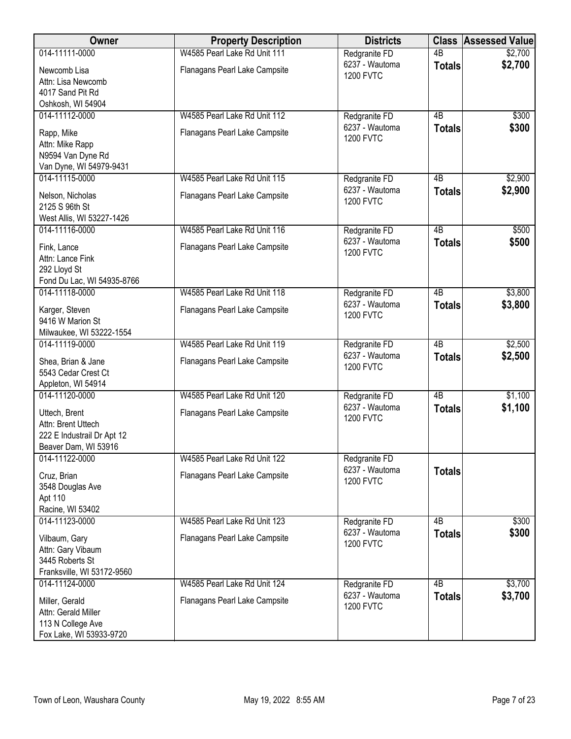| Owner                                                                                     | <b>Property Description</b>   | <b>Districts</b>                   | <b>Class</b>    | <b>Assessed Value</b> |
|-------------------------------------------------------------------------------------------|-------------------------------|------------------------------------|-----------------|-----------------------|
| 014-11111-0000                                                                            | W4585 Pearl Lake Rd Unit 111  | Redgranite FD                      | 4B              | \$2,700               |
| Newcomb Lisa<br>Attn: Lisa Newcomb<br>4017 Sand Pit Rd                                    | Flanagans Pearl Lake Campsite | 6237 - Wautoma<br><b>1200 FVTC</b> | <b>Totals</b>   | \$2,700               |
| Oshkosh, WI 54904                                                                         |                               |                                    |                 |                       |
| 014-11112-0000                                                                            | W4585 Pearl Lake Rd Unit 112  | Redgranite FD                      | 4B              | \$300                 |
| Rapp, Mike<br>Attn: Mike Rapp<br>N9594 Van Dyne Rd<br>Van Dyne, WI 54979-9431             | Flanagans Pearl Lake Campsite | 6237 - Wautoma<br><b>1200 FVTC</b> | <b>Totals</b>   | \$300                 |
| 014-11115-0000                                                                            | W4585 Pearl Lake Rd Unit 115  | Redgranite FD                      | 4B              | \$2,900               |
| Nelson, Nicholas<br>2125 S 96th St<br>West Allis, WI 53227-1426                           | Flanagans Pearl Lake Campsite | 6237 - Wautoma<br><b>1200 FVTC</b> | <b>Totals</b>   | \$2,900               |
| 014-11116-0000                                                                            | W4585 Pearl Lake Rd Unit 116  | Redgranite FD                      | $\overline{AB}$ | \$500                 |
| Fink, Lance<br>Attn: Lance Fink<br>292 Lloyd St<br>Fond Du Lac, WI 54935-8766             | Flanagans Pearl Lake Campsite | 6237 - Wautoma<br><b>1200 FVTC</b> | <b>Totals</b>   | \$500                 |
| 014-11118-0000                                                                            | W4585 Pearl Lake Rd Unit 118  | Redgranite FD                      | $\overline{AB}$ | \$3,800               |
| Karger, Steven<br>9416 W Marion St                                                        | Flanagans Pearl Lake Campsite | 6237 - Wautoma<br><b>1200 FVTC</b> | <b>Totals</b>   | \$3,800               |
| Milwaukee, WI 53222-1554<br>014-11119-0000                                                | W4585 Pearl Lake Rd Unit 119  | Redgranite FD                      | $\overline{AB}$ | \$2,500               |
| Shea, Brian & Jane<br>5543 Cedar Crest Ct<br>Appleton, WI 54914                           | Flanagans Pearl Lake Campsite | 6237 - Wautoma<br><b>1200 FVTC</b> | <b>Totals</b>   | \$2,500               |
| 014-11120-0000                                                                            | W4585 Pearl Lake Rd Unit 120  | Redgranite FD                      | $\overline{AB}$ | \$1,100               |
| Uttech, Brent<br>Attn: Brent Uttech<br>222 E Industrail Dr Apt 12<br>Beaver Dam, WI 53916 | Flanagans Pearl Lake Campsite | 6237 - Wautoma<br><b>1200 FVTC</b> | <b>Totals</b>   | \$1,100               |
| 014-11122-0000                                                                            | W4585 Pearl Lake Rd Unit 122  | Redgranite FD                      |                 |                       |
| Cruz, Brian<br>3548 Douglas Ave<br>Apt 110<br>Racine, WI 53402                            | Flanagans Pearl Lake Campsite | 6237 - Wautoma<br><b>1200 FVTC</b> | <b>Totals</b>   |                       |
| 014-11123-0000                                                                            | W4585 Pearl Lake Rd Unit 123  | Redgranite FD                      | 4B              | \$300                 |
| Vilbaum, Gary<br>Attn: Gary Vibaum<br>3445 Roberts St<br>Franksville, WI 53172-9560       | Flanagans Pearl Lake Campsite | 6237 - Wautoma<br><b>1200 FVTC</b> | <b>Totals</b>   | \$300                 |
| 014-11124-0000                                                                            | W4585 Pearl Lake Rd Unit 124  | Redgranite FD                      | $\overline{AB}$ | \$3,700               |
| Miller, Gerald<br>Attn: Gerald Miller<br>113 N College Ave<br>Fox Lake, WI 53933-9720     | Flanagans Pearl Lake Campsite | 6237 - Wautoma<br><b>1200 FVTC</b> | <b>Totals</b>   | \$3,700               |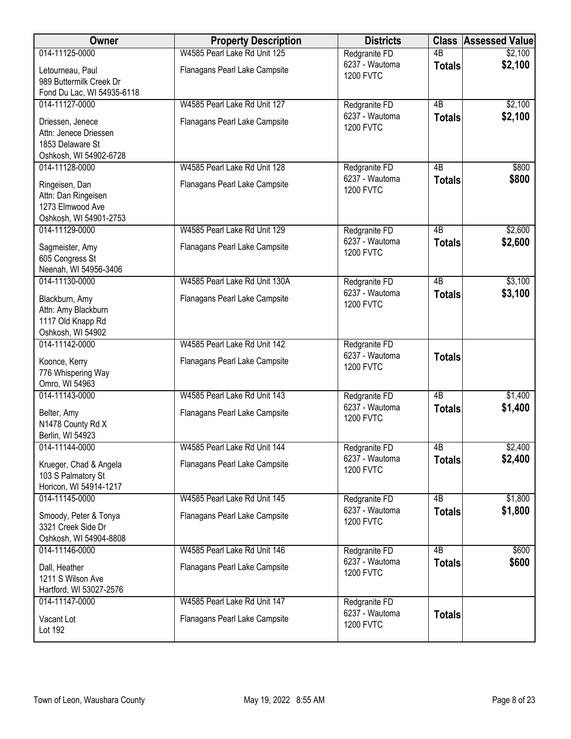| Owner                                                                                   | <b>Property Description</b>   | <b>Districts</b>                   |                 | <b>Class Assessed Value</b> |
|-----------------------------------------------------------------------------------------|-------------------------------|------------------------------------|-----------------|-----------------------------|
| 014-11125-0000                                                                          | W4585 Pearl Lake Rd Unit 125  | Redgranite FD                      | $\overline{AB}$ | \$2,100                     |
| Letourneau, Paul<br>989 Buttermilk Creek Dr                                             | Flanagans Pearl Lake Campsite | 6237 - Wautoma<br><b>1200 FVTC</b> | <b>Totals</b>   | \$2,100                     |
| Fond Du Lac, WI 54935-6118                                                              |                               |                                    |                 |                             |
| 014-11127-0000                                                                          | W4585 Pearl Lake Rd Unit 127  | Redgranite FD<br>6237 - Wautoma    | $\overline{AB}$ | \$2,100                     |
| Driessen, Jenece<br>Attn: Jenece Driessen<br>1853 Delaware St<br>Oshkosh, WI 54902-6728 | Flanagans Pearl Lake Campsite | <b>1200 FVTC</b>                   | <b>Totals</b>   | \$2,100                     |
| 014-11128-0000                                                                          | W4585 Pearl Lake Rd Unit 128  | Redgranite FD                      | 4B              | \$800                       |
| Ringeisen, Dan<br>Attn: Dan Ringeisen<br>1273 Elmwood Ave<br>Oshkosh, WI 54901-2753     | Flanagans Pearl Lake Campsite | 6237 - Wautoma<br><b>1200 FVTC</b> | <b>Totals</b>   | \$800                       |
| 014-11129-0000                                                                          | W4585 Pearl Lake Rd Unit 129  | Redgranite FD                      | $\overline{AB}$ | \$2,600                     |
| Sagmeister, Amy<br>605 Congress St<br>Neenah, WI 54956-3406                             | Flanagans Pearl Lake Campsite | 6237 - Wautoma<br><b>1200 FVTC</b> | <b>Totals</b>   | \$2,600                     |
| 014-11130-0000                                                                          | W4585 Pearl Lake Rd Unit 130A | Redgranite FD                      | $\overline{AB}$ | \$3,100                     |
| Blackburn, Amy<br>Attn: Amy Blackburn<br>1117 Old Knapp Rd<br>Oshkosh, WI 54902         | Flanagans Pearl Lake Campsite | 6237 - Wautoma<br><b>1200 FVTC</b> | <b>Totals</b>   | \$3,100                     |
| 014-11142-0000                                                                          | W4585 Pearl Lake Rd Unit 142  | Redgranite FD                      |                 |                             |
| Koonce, Kerry<br>776 Whispering Way<br>Omro, WI 54963                                   | Flanagans Pearl Lake Campsite | 6237 - Wautoma<br><b>1200 FVTC</b> | <b>Totals</b>   |                             |
| 014-11143-0000                                                                          | W4585 Pearl Lake Rd Unit 143  | Redgranite FD                      | $\overline{AB}$ | \$1,400                     |
| Belter, Amy<br>N1478 County Rd X<br>Berlin, WI 54923                                    | Flanagans Pearl Lake Campsite | 6237 - Wautoma<br><b>1200 FVTC</b> | <b>Totals</b>   | \$1,400                     |
| 014-11144-0000                                                                          | W4585 Pearl Lake Rd Unit 144  | Redgranite FD                      | 4B              | \$2,400                     |
| Krueger, Chad & Angela<br>103 S Palmatory St<br>Horicon, WI 54914-1217                  | Flanagans Pearl Lake Campsite | 6237 - Wautoma<br><b>1200 FVTC</b> | <b>Totals</b>   | \$2,400                     |
| 014-11145-0000                                                                          | W4585 Pearl Lake Rd Unit 145  | Redgranite FD                      | 4 <sub>B</sub>  | \$1,800                     |
| Smoody, Peter & Tonya<br>3321 Creek Side Dr<br>Oshkosh, WI 54904-8808                   | Flanagans Pearl Lake Campsite | 6237 - Wautoma<br><b>1200 FVTC</b> | <b>Totals</b>   | \$1,800                     |
| 014-11146-0000                                                                          | W4585 Pearl Lake Rd Unit 146  | Redgranite FD                      | $\overline{AB}$ | \$600                       |
| Dall, Heather<br>1211 S Wilson Ave<br>Hartford, WI 53027-2576                           | Flanagans Pearl Lake Campsite | 6237 - Wautoma<br><b>1200 FVTC</b> | <b>Totals</b>   | \$600                       |
| 014-11147-0000                                                                          | W4585 Pearl Lake Rd Unit 147  | Redgranite FD                      |                 |                             |
| Vacant Lot<br>Lot 192                                                                   | Flanagans Pearl Lake Campsite | 6237 - Wautoma<br><b>1200 FVTC</b> | <b>Totals</b>   |                             |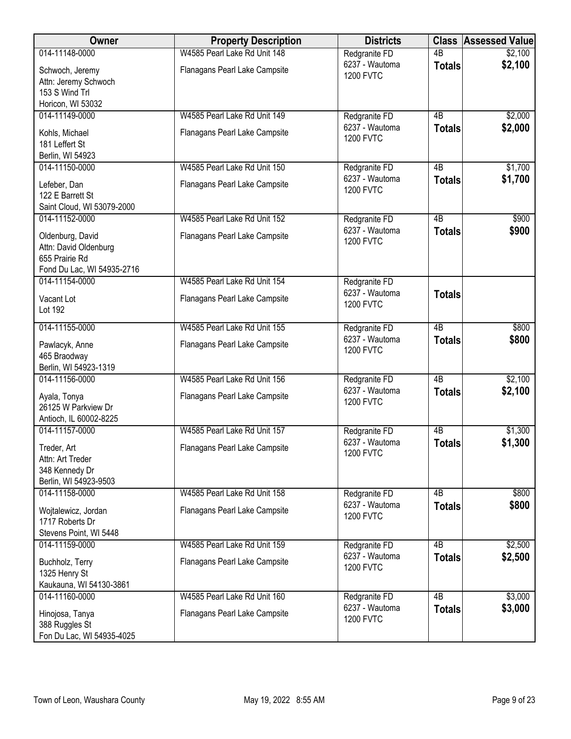| Owner                                                                                     | <b>Property Description</b>                                   | <b>Districts</b>                                    |                     | <b>Class Assessed Value</b> |
|-------------------------------------------------------------------------------------------|---------------------------------------------------------------|-----------------------------------------------------|---------------------|-----------------------------|
| 014-11148-0000                                                                            | W4585 Pearl Lake Rd Unit 148                                  | Redgranite FD                                       | $\overline{AB}$     | \$2,100                     |
| Schwoch, Jeremy<br>Attn: Jeremy Schwoch<br>153 S Wind Trl                                 | Flanagans Pearl Lake Campsite                                 | 6237 - Wautoma<br><b>1200 FVTC</b>                  | <b>Totals</b>       | \$2,100                     |
| Horicon, WI 53032                                                                         |                                                               |                                                     |                     |                             |
| 014-11149-0000<br>Kohls, Michael<br>181 Leffert St<br>Berlin, WI 54923                    | W4585 Pearl Lake Rd Unit 149<br>Flanagans Pearl Lake Campsite | Redgranite FD<br>6237 - Wautoma<br><b>1200 FVTC</b> | 4B<br><b>Totals</b> | \$2,000<br>\$2,000          |
| 014-11150-0000                                                                            | W4585 Pearl Lake Rd Unit 150                                  | Redgranite FD                                       | 4B                  | \$1,700                     |
| Lefeber, Dan<br>122 E Barrett St<br>Saint Cloud, WI 53079-2000                            | Flanagans Pearl Lake Campsite                                 | 6237 - Wautoma<br><b>1200 FVTC</b>                  | <b>Totals</b>       | \$1,700                     |
| 014-11152-0000                                                                            | W4585 Pearl Lake Rd Unit 152                                  | Redgranite FD                                       | $\overline{AB}$     | \$900                       |
| Oldenburg, David<br>Attn: David Oldenburg<br>655 Prairie Rd<br>Fond Du Lac, WI 54935-2716 | Flanagans Pearl Lake Campsite                                 | 6237 - Wautoma<br><b>1200 FVTC</b>                  | <b>Totals</b>       | \$900                       |
| 014-11154-0000                                                                            | W4585 Pearl Lake Rd Unit 154                                  | Redgranite FD                                       |                     |                             |
| Vacant Lot<br>Lot 192                                                                     | Flanagans Pearl Lake Campsite                                 | 6237 - Wautoma<br><b>1200 FVTC</b>                  | <b>Totals</b>       |                             |
| 014-11155-0000                                                                            | W4585 Pearl Lake Rd Unit 155                                  | Redgranite FD                                       | $\overline{AB}$     | \$800                       |
| Pawlacyk, Anne<br>465 Braodway<br>Berlin, WI 54923-1319                                   | Flanagans Pearl Lake Campsite                                 | 6237 - Wautoma<br><b>1200 FVTC</b>                  | <b>Totals</b>       | \$800                       |
| 014-11156-0000                                                                            | W4585 Pearl Lake Rd Unit 156                                  | Redgranite FD                                       | 4B                  | \$2,100                     |
| Ayala, Tonya<br>26125 W Parkview Dr<br>Antioch, IL 60002-8225                             | Flanagans Pearl Lake Campsite                                 | 6237 - Wautoma<br><b>1200 FVTC</b>                  | <b>Totals</b>       | \$2,100                     |
| 014-11157-0000                                                                            | W4585 Pearl Lake Rd Unit 157                                  | Redgranite FD                                       | 4B                  | \$1,300                     |
| Treder, Art<br>Attn: Art Treder<br>348 Kennedy Dr<br>Berlin, WI 54923-9503                | Flanagans Pearl Lake Campsite                                 | 6237 - Wautoma<br><b>1200 FVTC</b>                  | <b>Totals</b>       | \$1,300                     |
| 014-11158-0000                                                                            | W4585 Pearl Lake Rd Unit 158                                  | Redgranite FD                                       | 4B                  | \$800                       |
| Wojtalewicz, Jordan<br>1717 Roberts Dr<br>Stevens Point, WI 5448                          | Flanagans Pearl Lake Campsite                                 | 6237 - Wautoma<br><b>1200 FVTC</b>                  | <b>Totals</b>       | \$800                       |
| 014-11159-0000                                                                            | W4585 Pearl Lake Rd Unit 159                                  | Redgranite FD                                       | $\overline{AB}$     | \$2,500                     |
| Buchholz, Terry<br>1325 Henry St<br>Kaukauna, WI 54130-3861                               | Flanagans Pearl Lake Campsite                                 | 6237 - Wautoma<br><b>1200 FVTC</b>                  | <b>Totals</b>       | \$2,500                     |
| 014-11160-0000                                                                            | W4585 Pearl Lake Rd Unit 160                                  | Redgranite FD                                       | $\overline{AB}$     | \$3,000                     |
| Hinojosa, Tanya<br>388 Ruggles St<br>Fon Du Lac, WI 54935-4025                            | Flanagans Pearl Lake Campsite                                 | 6237 - Wautoma<br><b>1200 FVTC</b>                  | <b>Totals</b>       | \$3,000                     |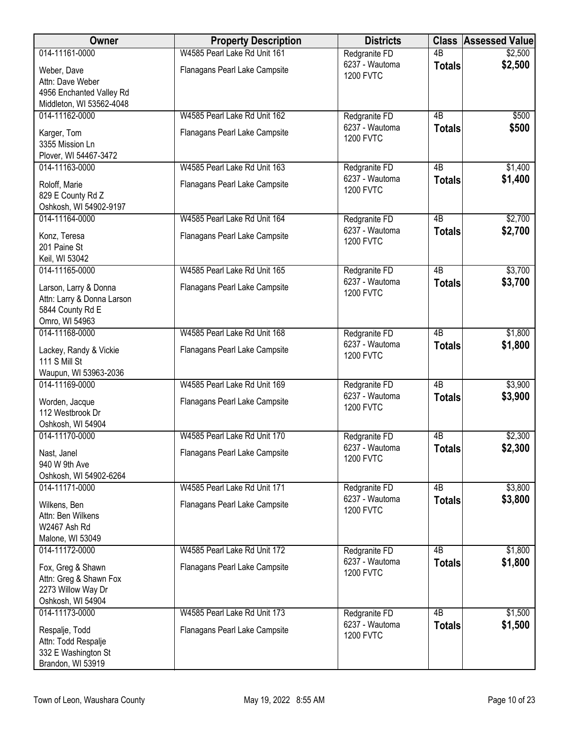| Owner                                                | <b>Property Description</b>   | <b>Districts</b>                   | <b>Class</b>        | <b>Assessed Value</b> |
|------------------------------------------------------|-------------------------------|------------------------------------|---------------------|-----------------------|
| 014-11161-0000                                       | W4585 Pearl Lake Rd Unit 161  | Redgranite FD                      | $\overline{AB}$     | \$2,500               |
| Weber, Dave                                          | Flanagans Pearl Lake Campsite | 6237 - Wautoma<br><b>1200 FVTC</b> | <b>Totals</b>       | \$2,500               |
| Attn: Dave Weber                                     |                               |                                    |                     |                       |
| 4956 Enchanted Valley Rd<br>Middleton, WI 53562-4048 |                               |                                    |                     |                       |
| 014-11162-0000                                       | W4585 Pearl Lake Rd Unit 162  | Redgranite FD                      | 4B                  | \$500                 |
| Karger, Tom                                          | Flanagans Pearl Lake Campsite | 6237 - Wautoma                     | <b>Totals</b>       | \$500                 |
| 3355 Mission Ln                                      |                               | <b>1200 FVTC</b>                   |                     |                       |
| Plover, WI 54467-3472                                |                               |                                    |                     |                       |
| 014-11163-0000                                       | W4585 Pearl Lake Rd Unit 163  | Redgranite FD<br>6237 - Wautoma    | 4B                  | \$1,400               |
| Roloff, Marie                                        | Flanagans Pearl Lake Campsite | <b>1200 FVTC</b>                   | <b>Totals</b>       | \$1,400               |
| 829 E County Rd Z                                    |                               |                                    |                     |                       |
| Oshkosh, WI 54902-9197<br>014-11164-0000             | W4585 Pearl Lake Rd Unit 164  | Redgranite FD                      | $\overline{AB}$     | \$2,700               |
|                                                      |                               | 6237 - Wautoma                     | <b>Totals</b>       | \$2,700               |
| Konz, Teresa<br>201 Paine St                         | Flanagans Pearl Lake Campsite | <b>1200 FVTC</b>                   |                     |                       |
| Keil, WI 53042                                       |                               |                                    |                     |                       |
| 014-11165-0000                                       | W4585 Pearl Lake Rd Unit 165  | Redgranite FD                      | 4B                  | \$3,700               |
| Larson, Larry & Donna                                | Flanagans Pearl Lake Campsite | 6237 - Wautoma                     | <b>Totals</b>       | \$3,700               |
| Attn: Larry & Donna Larson                           |                               | <b>1200 FVTC</b>                   |                     |                       |
| 5844 County Rd E                                     |                               |                                    |                     |                       |
| Omro, WI 54963                                       |                               |                                    |                     |                       |
| 014-11168-0000                                       | W4585 Pearl Lake Rd Unit 168  | Redgranite FD<br>6237 - Wautoma    | 4B<br><b>Totals</b> | \$1,800<br>\$1,800    |
| Lackey, Randy & Vickie                               | Flanagans Pearl Lake Campsite | <b>1200 FVTC</b>                   |                     |                       |
| 111 S Mill St<br>Waupun, WI 53963-2036               |                               |                                    |                     |                       |
| 014-11169-0000                                       | W4585 Pearl Lake Rd Unit 169  | Redgranite FD                      | $\overline{AB}$     | \$3,900               |
| Worden, Jacque                                       | Flanagans Pearl Lake Campsite | 6237 - Wautoma                     | <b>Totals</b>       | \$3,900               |
| 112 Westbrook Dr                                     |                               | <b>1200 FVTC</b>                   |                     |                       |
| Oshkosh, WI 54904                                    |                               |                                    |                     |                       |
| 014-11170-0000                                       | W4585 Pearl Lake Rd Unit 170  | Redgranite FD                      | 4B                  | \$2,300               |
| Nast, Janel                                          | Flanagans Pearl Lake Campsite | 6237 - Wautoma<br><b>1200 FVTC</b> | <b>Totals</b>       | \$2,300               |
| 940 W 9th Ave                                        |                               |                                    |                     |                       |
| Oshkosh, WI 54902-6264                               |                               |                                    |                     |                       |
| 014-11171-0000                                       | W4585 Pearl Lake Rd Unit 171  | Redgranite FD<br>6237 - Wautoma    | 4B<br><b>Totals</b> | \$3,800<br>\$3,800    |
| Wilkens, Ben                                         | Flanagans Pearl Lake Campsite | <b>1200 FVTC</b>                   |                     |                       |
| Attn: Ben Wilkens<br>W2467 Ash Rd                    |                               |                                    |                     |                       |
| Malone, WI 53049                                     |                               |                                    |                     |                       |
| 014-11172-0000                                       | W4585 Pearl Lake Rd Unit 172  | Redgranite FD                      | $\overline{AB}$     | \$1,800               |
| Fox, Greg & Shawn                                    | Flanagans Pearl Lake Campsite | 6237 - Wautoma                     | <b>Totals</b>       | \$1,800               |
| Attn: Greg & Shawn Fox                               |                               | <b>1200 FVTC</b>                   |                     |                       |
| 2273 Willow Way Dr                                   |                               |                                    |                     |                       |
| Oshkosh, WI 54904                                    |                               |                                    | $\overline{AB}$     |                       |
| 014-11173-0000                                       | W4585 Pearl Lake Rd Unit 173  | Redgranite FD<br>6237 - Wautoma    | <b>Totals</b>       | \$1,500<br>\$1,500    |
| Respalje, Todd                                       | Flanagans Pearl Lake Campsite | <b>1200 FVTC</b>                   |                     |                       |
| Attn: Todd Respalje<br>332 E Washington St           |                               |                                    |                     |                       |
| Brandon, WI 53919                                    |                               |                                    |                     |                       |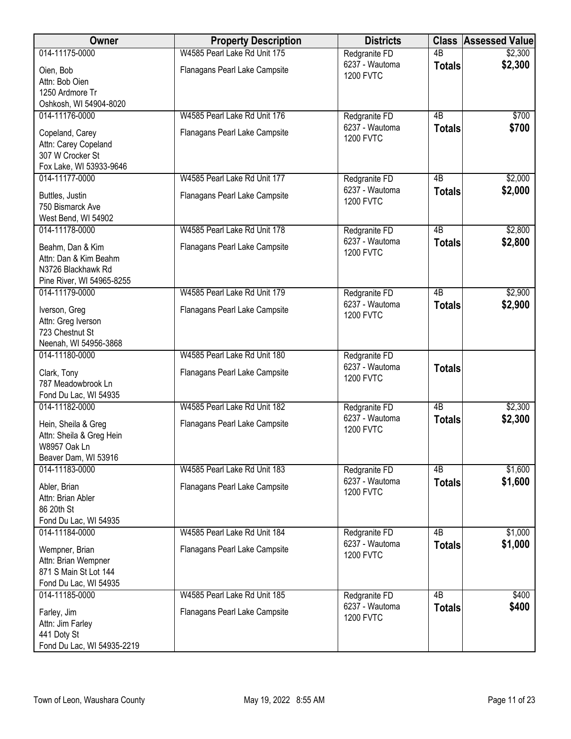| Owner                                                                                        | <b>Property Description</b>   | <b>Districts</b>                   |                 | <b>Class Assessed Value</b> |
|----------------------------------------------------------------------------------------------|-------------------------------|------------------------------------|-----------------|-----------------------------|
| 014-11175-0000                                                                               | W4585 Pearl Lake Rd Unit 175  | Redgranite FD                      | $\overline{AB}$ | \$2,300                     |
| Oien, Bob<br>Attn: Bob Oien<br>1250 Ardmore Tr                                               | Flanagans Pearl Lake Campsite | 6237 - Wautoma<br><b>1200 FVTC</b> | <b>Totals</b>   | \$2,300                     |
| Oshkosh, WI 54904-8020                                                                       |                               |                                    |                 |                             |
| 014-11176-0000                                                                               | W4585 Pearl Lake Rd Unit 176  | Redgranite FD<br>6237 - Wautoma    | 4B              | \$700<br>\$700              |
| Copeland, Carey<br>Attn: Carey Copeland<br>307 W Crocker St<br>Fox Lake, WI 53933-9646       | Flanagans Pearl Lake Campsite | <b>1200 FVTC</b>                   | <b>Totals</b>   |                             |
| 014-11177-0000                                                                               | W4585 Pearl Lake Rd Unit 177  | Redgranite FD                      | 4B              | \$2,000                     |
| Buttles, Justin<br>750 Bismarck Ave<br>West Bend, WI 54902                                   | Flanagans Pearl Lake Campsite | 6237 - Wautoma<br><b>1200 FVTC</b> | <b>Totals</b>   | \$2,000                     |
| 014-11178-0000                                                                               | W4585 Pearl Lake Rd Unit 178  | Redgranite FD                      | $\overline{AB}$ | \$2,800                     |
| Beahm, Dan & Kim<br>Attn: Dan & Kim Beahm<br>N3726 Blackhawk Rd<br>Pine River, WI 54965-8255 | Flanagans Pearl Lake Campsite | 6237 - Wautoma<br><b>1200 FVTC</b> | <b>Totals</b>   | \$2,800                     |
| 014-11179-0000                                                                               | W4585 Pearl Lake Rd Unit 179  | Redgranite FD                      | $\overline{AB}$ | \$2,900                     |
| Iverson, Greg<br>Attn: Greg Iverson<br>723 Chestnut St<br>Neenah, WI 54956-3868              | Flanagans Pearl Lake Campsite | 6237 - Wautoma<br><b>1200 FVTC</b> | <b>Totals</b>   | \$2,900                     |
| 014-11180-0000                                                                               | W4585 Pearl Lake Rd Unit 180  | Redgranite FD                      |                 |                             |
| Clark, Tony<br>787 Meadowbrook Ln<br>Fond Du Lac, WI 54935                                   | Flanagans Pearl Lake Campsite | 6237 - Wautoma<br><b>1200 FVTC</b> | <b>Totals</b>   |                             |
| 014-11182-0000                                                                               | W4585 Pearl Lake Rd Unit 182  | Redgranite FD                      | $\overline{AB}$ | \$2,300                     |
| Hein, Sheila & Greg<br>Attn: Sheila & Greg Hein<br>W8957 Oak Ln<br>Beaver Dam, WI 53916      | Flanagans Pearl Lake Campsite | 6237 - Wautoma<br><b>1200 FVTC</b> | <b>Totals</b>   | \$2,300                     |
| 014-11183-0000                                                                               | W4585 Pearl Lake Rd Unit 183  | Redgranite FD                      | 4B              | \$1,600                     |
| Abler, Brian<br>Attn: Brian Abler<br>86 20th St<br>Fond Du Lac, WI 54935                     | Flanagans Pearl Lake Campsite | 6237 - Wautoma<br><b>1200 FVTC</b> | <b>Totals</b>   | \$1,600                     |
| 014-11184-0000                                                                               | W4585 Pearl Lake Rd Unit 184  | Redgranite FD                      | 4B              | \$1,000                     |
| Wempner, Brian<br>Attn: Brian Wempner<br>871 S Main St Lot 144<br>Fond Du Lac, WI 54935      | Flanagans Pearl Lake Campsite | 6237 - Wautoma<br><b>1200 FVTC</b> | <b>Totals</b>   | \$1,000                     |
| 014-11185-0000                                                                               | W4585 Pearl Lake Rd Unit 185  | Redgranite FD                      | $\overline{AB}$ | \$400                       |
| Farley, Jim<br>Attn: Jim Farley<br>441 Doty St<br>Fond Du Lac, WI 54935-2219                 | Flanagans Pearl Lake Campsite | 6237 - Wautoma<br><b>1200 FVTC</b> | <b>Totals</b>   | \$400                       |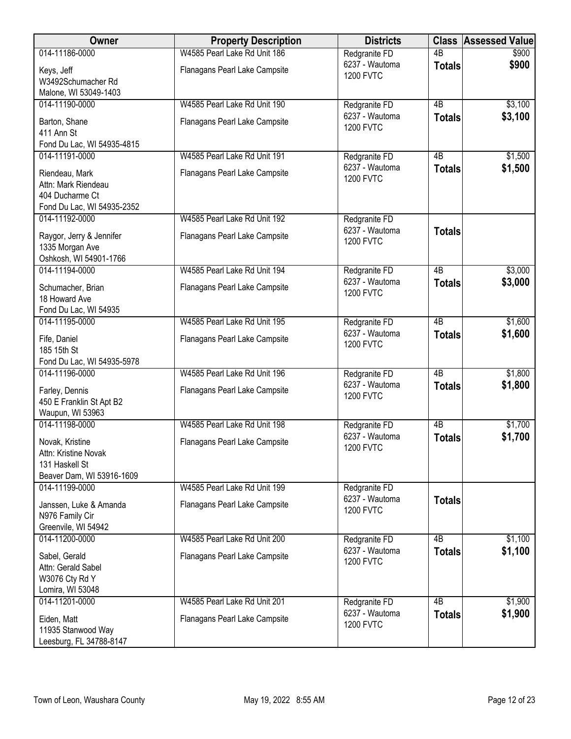| Owner                                                                     | <b>Property Description</b>                                   | <b>Districts</b>                                    |                                  | <b>Class Assessed Value</b> |
|---------------------------------------------------------------------------|---------------------------------------------------------------|-----------------------------------------------------|----------------------------------|-----------------------------|
| 014-11186-0000                                                            | W4585 Pearl Lake Rd Unit 186                                  | Redgranite FD                                       | $\overline{AB}$                  | \$900                       |
| Keys, Jeff<br>W3492Schumacher Rd                                          | Flanagans Pearl Lake Campsite                                 | 6237 - Wautoma<br><b>1200 FVTC</b>                  | <b>Totals</b>                    | \$900                       |
| Malone, WI 53049-1403                                                     |                                                               |                                                     |                                  |                             |
| 014-11190-0000                                                            | W4585 Pearl Lake Rd Unit 190                                  | Redgranite FD                                       | $\overline{AB}$                  | \$3,100                     |
| Barton, Shane<br>411 Ann St                                               | Flanagans Pearl Lake Campsite                                 | 6237 - Wautoma<br><b>1200 FVTC</b>                  | <b>Totals</b>                    | \$3,100                     |
| Fond Du Lac, WI 54935-4815                                                |                                                               |                                                     |                                  |                             |
| 014-11191-0000                                                            | W4585 Pearl Lake Rd Unit 191                                  | Redgranite FD                                       | 4B                               | \$1,500                     |
| Riendeau, Mark<br>Attn: Mark Riendeau<br>404 Ducharme Ct                  | Flanagans Pearl Lake Campsite                                 | 6237 - Wautoma<br><b>1200 FVTC</b>                  | <b>Totals</b>                    | \$1,500                     |
| Fond Du Lac, WI 54935-2352                                                |                                                               |                                                     |                                  |                             |
| 014-11192-0000                                                            | W4585 Pearl Lake Rd Unit 192                                  | Redgranite FD                                       |                                  |                             |
| Raygor, Jerry & Jennifer<br>1335 Morgan Ave<br>Oshkosh, WI 54901-1766     | Flanagans Pearl Lake Campsite                                 | 6237 - Wautoma<br><b>1200 FVTC</b>                  | <b>Totals</b>                    |                             |
| 014-11194-0000                                                            | W4585 Pearl Lake Rd Unit 194                                  | Redgranite FD                                       | $\overline{AB}$                  | \$3,000                     |
| Schumacher, Brian<br>18 Howard Ave                                        | Flanagans Pearl Lake Campsite                                 | 6237 - Wautoma<br><b>1200 FVTC</b>                  | <b>Totals</b>                    | \$3,000                     |
| Fond Du Lac, WI 54935                                                     |                                                               |                                                     |                                  |                             |
| 014-11195-0000                                                            | W4585 Pearl Lake Rd Unit 195                                  | Redgranite FD                                       | $\overline{AB}$                  | \$1,600                     |
| Fife, Daniel<br>185 15th St                                               | Flanagans Pearl Lake Campsite                                 | 6237 - Wautoma<br><b>1200 FVTC</b>                  | <b>Totals</b>                    | \$1,600                     |
| Fond Du Lac, WI 54935-5978                                                |                                                               |                                                     |                                  |                             |
| 014-11196-0000<br>Farley, Dennis<br>450 E Franklin St Apt B2              | W4585 Pearl Lake Rd Unit 196<br>Flanagans Pearl Lake Campsite | Redgranite FD<br>6237 - Wautoma<br><b>1200 FVTC</b> | $\overline{AB}$<br><b>Totals</b> | \$1,800<br>\$1,800          |
| Waupun, WI 53963                                                          |                                                               |                                                     |                                  |                             |
| 014-11198-0000                                                            | W4585 Pearl Lake Rd Unit 198                                  | Redgranite FD<br>6237 - Wautoma                     | 4B<br><b>Totals</b>              | \$1,700<br>\$1,700          |
| Novak, Kristine<br>Attn: Kristine Novak<br>131 Haskell St                 | Flanagans Pearl Lake Campsite                                 | <b>1200 FVTC</b>                                    |                                  |                             |
| Beaver Dam, WI 53916-1609                                                 |                                                               |                                                     |                                  |                             |
| 014-11199-0000                                                            | W4585 Pearl Lake Rd Unit 199                                  | Redgranite FD                                       |                                  |                             |
| Janssen, Luke & Amanda<br>N976 Family Cir<br>Greenvile, WI 54942          | Flanagans Pearl Lake Campsite                                 | 6237 - Wautoma<br><b>1200 FVTC</b>                  | <b>Totals</b>                    |                             |
| 014-11200-0000                                                            | W4585 Pearl Lake Rd Unit 200                                  | Redgranite FD                                       | $\overline{AB}$                  | \$1,100                     |
| Sabel, Gerald<br>Attn: Gerald Sabel<br>W3076 Cty Rd Y<br>Lomira, WI 53048 | Flanagans Pearl Lake Campsite                                 | 6237 - Wautoma<br><b>1200 FVTC</b>                  | <b>Totals</b>                    | \$1,100                     |
| 014-11201-0000                                                            | W4585 Pearl Lake Rd Unit 201                                  | Redgranite FD                                       | $\overline{AB}$                  | \$1,900                     |
| Eiden, Matt<br>11935 Stanwood Way<br>Leesburg, FL 34788-8147              | Flanagans Pearl Lake Campsite                                 | 6237 - Wautoma<br><b>1200 FVTC</b>                  | <b>Totals</b>                    | \$1,900                     |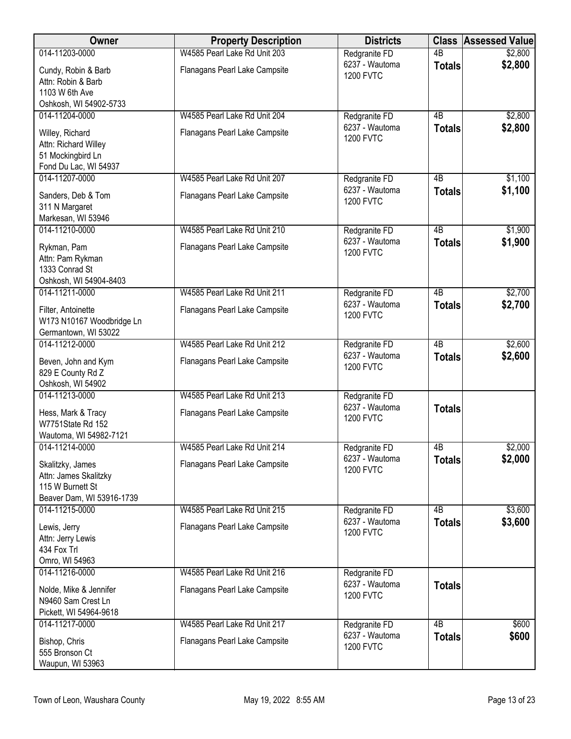| Owner                                                                                      | <b>Property Description</b>   | <b>Districts</b>                   |                 | <b>Class Assessed Value</b> |
|--------------------------------------------------------------------------------------------|-------------------------------|------------------------------------|-----------------|-----------------------------|
| 014-11203-0000                                                                             | W4585 Pearl Lake Rd Unit 203  | Redgranite FD                      | $\overline{AB}$ | \$2,800                     |
| Cundy, Robin & Barb<br>Attn: Robin & Barb<br>1103 W 6th Ave                                | Flanagans Pearl Lake Campsite | 6237 - Wautoma<br><b>1200 FVTC</b> | <b>Totals</b>   | \$2,800                     |
| Oshkosh, WI 54902-5733                                                                     |                               |                                    |                 |                             |
| 014-11204-0000                                                                             | W4585 Pearl Lake Rd Unit 204  | Redgranite FD                      | 4B              | \$2,800                     |
| Willey, Richard<br>Attn: Richard Willey<br>51 Mockingbird Ln<br>Fond Du Lac, WI 54937      | Flanagans Pearl Lake Campsite | 6237 - Wautoma<br><b>1200 FVTC</b> | <b>Totals</b>   | \$2,800                     |
| 014-11207-0000                                                                             | W4585 Pearl Lake Rd Unit 207  | Redgranite FD                      | 4B              | \$1,100                     |
| Sanders, Deb & Tom<br>311 N Margaret<br>Markesan, WI 53946                                 | Flanagans Pearl Lake Campsite | 6237 - Wautoma<br><b>1200 FVTC</b> | <b>Totals</b>   | \$1,100                     |
| 014-11210-0000                                                                             | W4585 Pearl Lake Rd Unit 210  | Redgranite FD                      | $\overline{AB}$ | \$1,900                     |
| Rykman, Pam<br>Attn: Pam Rykman<br>1333 Conrad St<br>Oshkosh, WI 54904-8403                | Flanagans Pearl Lake Campsite | 6237 - Wautoma<br><b>1200 FVTC</b> | <b>Totals</b>   | \$1,900                     |
| 014-11211-0000                                                                             | W4585 Pearl Lake Rd Unit 211  | Redgranite FD                      | $\overline{AB}$ | \$2,700                     |
| Filter, Antoinette<br>W173 N10167 Woodbridge Ln<br>Germantown, WI 53022                    | Flanagans Pearl Lake Campsite | 6237 - Wautoma<br><b>1200 FVTC</b> | <b>Totals</b>   | \$2,700                     |
| 014-11212-0000                                                                             | W4585 Pearl Lake Rd Unit 212  | Redgranite FD                      | $\overline{AB}$ | \$2,600                     |
| Beven, John and Kym<br>829 E County Rd Z<br>Oshkosh, WI 54902                              | Flanagans Pearl Lake Campsite | 6237 - Wautoma<br><b>1200 FVTC</b> | <b>Totals</b>   | \$2,600                     |
| 014-11213-0000                                                                             | W4585 Pearl Lake Rd Unit 213  | Redgranite FD                      |                 |                             |
| Hess, Mark & Tracy<br>W7751State Rd 152<br>Wautoma, WI 54982-7121                          | Flanagans Pearl Lake Campsite | 6237 - Wautoma<br><b>1200 FVTC</b> | <b>Totals</b>   |                             |
| 014-11214-0000                                                                             | W4585 Pearl Lake Rd Unit 214  | Redgranite FD                      | 4B              | \$2,000                     |
| Skalitzky, James<br>Attn: James Skalitzky<br>115 W Burnett St<br>Beaver Dam, WI 53916-1739 | Flanagans Pearl Lake Campsite | 6237 - Wautoma<br><b>1200 FVTC</b> | <b>Totals</b>   | \$2,000                     |
| 014-11215-0000                                                                             | W4585 Pearl Lake Rd Unit 215  | Redgranite FD                      | 4 <sub>B</sub>  | \$3,600                     |
| Lewis, Jerry<br>Attn: Jerry Lewis<br>434 Fox Trl<br>Omro, WI 54963                         | Flanagans Pearl Lake Campsite | 6237 - Wautoma<br><b>1200 FVTC</b> | <b>Totals</b>   | \$3,600                     |
| 014-11216-0000                                                                             | W4585 Pearl Lake Rd Unit 216  | Redgranite FD                      |                 |                             |
| Nolde, Mike & Jennifer<br>N9460 Sam Crest Ln<br>Pickett, WI 54964-9618                     | Flanagans Pearl Lake Campsite | 6237 - Wautoma<br><b>1200 FVTC</b> | <b>Totals</b>   |                             |
| 014-11217-0000                                                                             | W4585 Pearl Lake Rd Unit 217  | Redgranite FD                      | $\overline{AB}$ | \$600                       |
| Bishop, Chris<br>555 Bronson Ct<br>Waupun, WI 53963                                        | Flanagans Pearl Lake Campsite | 6237 - Wautoma<br><b>1200 FVTC</b> | <b>Totals</b>   | \$600                       |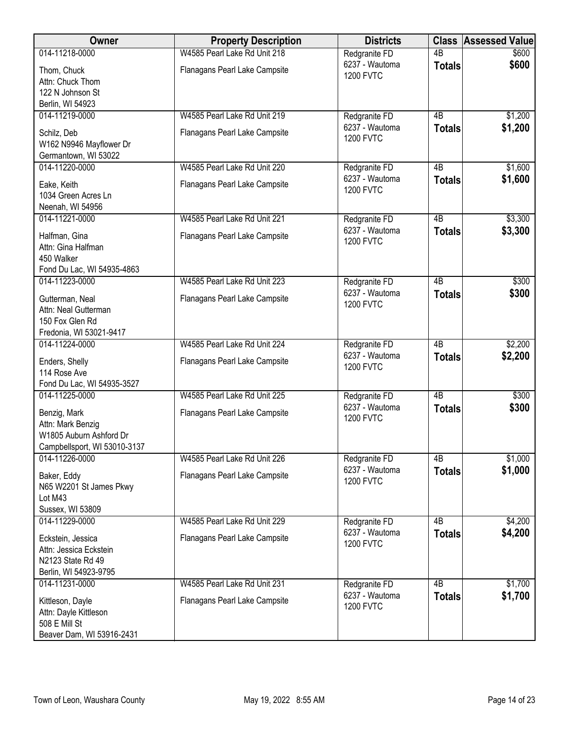| Owner                                                                                                          | <b>Property Description</b>                                   | <b>Districts</b>                                    | <b>Class</b>                     | <b>Assessed Value</b> |
|----------------------------------------------------------------------------------------------------------------|---------------------------------------------------------------|-----------------------------------------------------|----------------------------------|-----------------------|
| 014-11218-0000                                                                                                 | W4585 Pearl Lake Rd Unit 218                                  | Redgranite FD                                       | $\overline{AB}$                  | \$600                 |
| Thom, Chuck<br>Attn: Chuck Thom<br>122 N Johnson St                                                            | Flanagans Pearl Lake Campsite                                 | 6237 - Wautoma<br><b>1200 FVTC</b>                  | <b>Totals</b>                    | \$600                 |
| Berlin, WI 54923                                                                                               |                                                               |                                                     |                                  |                       |
| 014-11219-0000                                                                                                 | W4585 Pearl Lake Rd Unit 219                                  | Redgranite FD                                       | 4B                               | \$1,200               |
| Schilz, Deb<br>W162 N9946 Mayflower Dr<br>Germantown, WI 53022                                                 | Flanagans Pearl Lake Campsite                                 | 6237 - Wautoma<br><b>1200 FVTC</b>                  | <b>Totals</b>                    | \$1,200               |
| 014-11220-0000                                                                                                 | W4585 Pearl Lake Rd Unit 220                                  | Redgranite FD                                       | 4B                               | \$1,600               |
| Eake, Keith<br>1034 Green Acres Ln<br>Neenah, WI 54956                                                         | Flanagans Pearl Lake Campsite                                 | 6237 - Wautoma<br><b>1200 FVTC</b>                  | <b>Totals</b>                    | \$1,600               |
| 014-11221-0000                                                                                                 | W4585 Pearl Lake Rd Unit 221                                  | Redgranite FD                                       | $\overline{AB}$                  | \$3,300               |
| Halfman, Gina<br>Attn: Gina Halfman<br>450 Walker<br>Fond Du Lac, WI 54935-4863                                | Flanagans Pearl Lake Campsite                                 | 6237 - Wautoma<br><b>1200 FVTC</b>                  | <b>Totals</b>                    | \$3,300               |
| 014-11223-0000                                                                                                 | W4585 Pearl Lake Rd Unit 223                                  | Redgranite FD                                       | $\overline{AB}$                  | \$300                 |
| Gutterman, Neal<br>Attn: Neal Gutterman<br>150 Fox Glen Rd                                                     | Flanagans Pearl Lake Campsite                                 | 6237 - Wautoma<br><b>1200 FVTC</b>                  | <b>Totals</b>                    | \$300                 |
| Fredonia, WI 53021-9417                                                                                        |                                                               |                                                     |                                  |                       |
| 014-11224-0000<br>Enders, Shelly<br>114 Rose Ave                                                               | W4585 Pearl Lake Rd Unit 224<br>Flanagans Pearl Lake Campsite | Redgranite FD<br>6237 - Wautoma<br><b>1200 FVTC</b> | $\overline{AB}$<br><b>Totals</b> | \$2,200<br>\$2,200    |
| Fond Du Lac, WI 54935-3527                                                                                     |                                                               |                                                     | $\overline{AB}$                  |                       |
| 014-11225-0000<br>Benzig, Mark<br>Attn: Mark Benzig<br>W1805 Auburn Ashford Dr<br>Campbellsport, WI 53010-3137 | W4585 Pearl Lake Rd Unit 225<br>Flanagans Pearl Lake Campsite | Redgranite FD<br>6237 - Wautoma<br><b>1200 FVTC</b> | <b>Totals</b>                    | \$300<br>\$300        |
| 014-11226-0000                                                                                                 | W4585 Pearl Lake Rd Unit 226                                  | Redgranite FD                                       | 4B                               | \$1,000               |
| Baker, Eddy<br>N65 W2201 St James Pkwy<br>Lot M43<br>Sussex, WI 53809                                          | Flanagans Pearl Lake Campsite                                 | 6237 - Wautoma<br><b>1200 FVTC</b>                  | <b>Totals</b>                    | \$1,000               |
| 014-11229-0000                                                                                                 | W4585 Pearl Lake Rd Unit 229                                  | Redgranite FD                                       | 4B                               | \$4,200               |
| Eckstein, Jessica<br>Attn: Jessica Eckstein<br>N2123 State Rd 49<br>Berlin, WI 54923-9795                      | Flanagans Pearl Lake Campsite                                 | 6237 - Wautoma<br><b>1200 FVTC</b>                  | <b>Totals</b>                    | \$4,200               |
| 014-11231-0000                                                                                                 | W4585 Pearl Lake Rd Unit 231                                  | Redgranite FD                                       | $\overline{AB}$                  | \$1,700               |
| Kittleson, Dayle<br>Attn: Dayle Kittleson<br>508 E Mill St<br>Beaver Dam, WI 53916-2431                        | Flanagans Pearl Lake Campsite                                 | 6237 - Wautoma<br><b>1200 FVTC</b>                  | <b>Totals</b>                    | \$1,700               |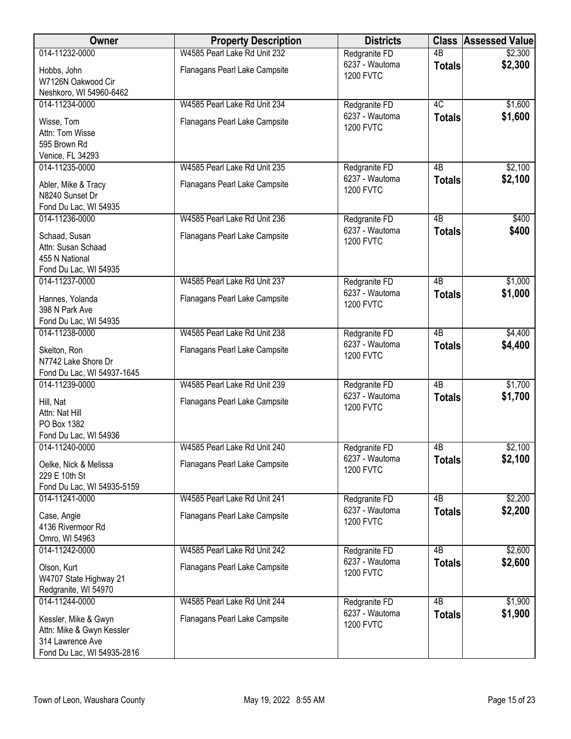| Owner                                                                                               | <b>Property Description</b>   | <b>Districts</b>                   |                 | <b>Class Assessed Value</b> |
|-----------------------------------------------------------------------------------------------------|-------------------------------|------------------------------------|-----------------|-----------------------------|
| 014-11232-0000                                                                                      | W4585 Pearl Lake Rd Unit 232  | Redgranite FD                      | $\overline{AB}$ | \$2,300                     |
| Hobbs, John<br>W7126N Oakwood Cir<br>Neshkoro, WI 54960-6462                                        | Flanagans Pearl Lake Campsite | 6237 - Wautoma<br><b>1200 FVTC</b> | <b>Totals</b>   | \$2,300                     |
| 014-11234-0000                                                                                      | W4585 Pearl Lake Rd Unit 234  | Redgranite FD                      | 4C              | \$1,600                     |
| Wisse, Tom<br>Attn: Tom Wisse<br>595 Brown Rd<br>Venice, FL 34293                                   | Flanagans Pearl Lake Campsite | 6237 - Wautoma<br><b>1200 FVTC</b> | <b>Totals</b>   | \$1,600                     |
| 014-11235-0000                                                                                      | W4585 Pearl Lake Rd Unit 235  | Redgranite FD                      | 4B              | \$2,100                     |
| Abler, Mike & Tracy<br>N8240 Sunset Dr<br>Fond Du Lac, WI 54935                                     | Flanagans Pearl Lake Campsite | 6237 - Wautoma<br><b>1200 FVTC</b> | <b>Totals</b>   | \$2,100                     |
| 014-11236-0000                                                                                      | W4585 Pearl Lake Rd Unit 236  | Redgranite FD                      | 4B              | \$400                       |
| Schaad, Susan<br>Attn: Susan Schaad<br>455 N National<br>Fond Du Lac, WI 54935                      | Flanagans Pearl Lake Campsite | 6237 - Wautoma<br><b>1200 FVTC</b> | <b>Totals</b>   | \$400                       |
| 014-11237-0000                                                                                      | W4585 Pearl Lake Rd Unit 237  | Redgranite FD                      | $\overline{AB}$ | \$1,000                     |
| Hannes, Yolanda<br>398 N Park Ave<br>Fond Du Lac, WI 54935                                          | Flanagans Pearl Lake Campsite | 6237 - Wautoma<br><b>1200 FVTC</b> | <b>Totals</b>   | \$1,000                     |
| 014-11238-0000                                                                                      | W4585 Pearl Lake Rd Unit 238  | Redgranite FD                      | $\overline{AB}$ | \$4,400                     |
| Skelton, Ron<br>N7742 Lake Shore Dr<br>Fond Du Lac, WI 54937-1645                                   | Flanagans Pearl Lake Campsite | 6237 - Wautoma<br><b>1200 FVTC</b> | <b>Totals</b>   | \$4,400                     |
| 014-11239-0000                                                                                      | W4585 Pearl Lake Rd Unit 239  | Redgranite FD                      | $\overline{AB}$ | \$1,700                     |
| Hill, Nat<br>Attn: Nat Hill<br>PO Box 1382<br>Fond Du Lac, WI 54936                                 | Flanagans Pearl Lake Campsite | 6237 - Wautoma<br><b>1200 FVTC</b> | <b>Totals</b>   | \$1,700                     |
| 014-11240-0000                                                                                      | W4585 Pearl Lake Rd Unit 240  | Redgranite FD                      | 4B              | \$2,100                     |
| Oelke, Nick & Melissa<br>229 E 10th St<br>Fond Du Lac, WI 54935-5159                                | Flanagans Pearl Lake Campsite | 6237 - Wautoma<br><b>1200 FVTC</b> | <b>Totals</b>   | \$2,100                     |
| 014-11241-0000                                                                                      | W4585 Pearl Lake Rd Unit 241  | Redgranite FD                      | 4 <sub>B</sub>  | \$2,200                     |
| Case, Angie<br>4136 Rivermoor Rd<br>Omro, WI 54963                                                  | Flanagans Pearl Lake Campsite | 6237 - Wautoma<br><b>1200 FVTC</b> | <b>Totals</b>   | \$2,200                     |
| 014-11242-0000                                                                                      | W4585 Pearl Lake Rd Unit 242  | Redgranite FD                      | $\overline{AB}$ | \$2,600                     |
| Olson, Kurt<br>W4707 State Highway 21<br>Redgranite, WI 54970                                       | Flanagans Pearl Lake Campsite | 6237 - Wautoma<br><b>1200 FVTC</b> | <b>Totals</b>   | \$2,600                     |
| 014-11244-0000                                                                                      | W4585 Pearl Lake Rd Unit 244  | Redgranite FD                      | $\overline{AB}$ | \$1,900                     |
| Kessler, Mike & Gwyn<br>Attn: Mike & Gwyn Kessler<br>314 Lawrence Ave<br>Fond Du Lac, WI 54935-2816 | Flanagans Pearl Lake Campsite | 6237 - Wautoma<br><b>1200 FVTC</b> | <b>Totals</b>   | \$1,900                     |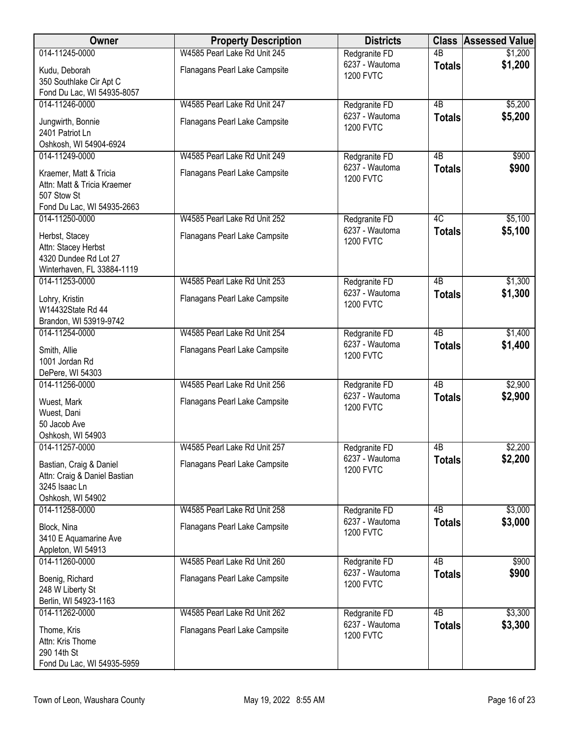| Owner                                                                                              | <b>Property Description</b>   | <b>Districts</b>                   |                 | <b>Class Assessed Value</b> |
|----------------------------------------------------------------------------------------------------|-------------------------------|------------------------------------|-----------------|-----------------------------|
| 014-11245-0000                                                                                     | W4585 Pearl Lake Rd Unit 245  | Redgranite FD                      | 4B              | \$1,200                     |
| Kudu, Deborah<br>350 Southlake Cir Apt C                                                           | Flanagans Pearl Lake Campsite | 6237 - Wautoma<br><b>1200 FVTC</b> | <b>Totals</b>   | \$1,200                     |
| Fond Du Lac, WI 54935-8057                                                                         |                               |                                    |                 |                             |
| 014-11246-0000                                                                                     | W4585 Pearl Lake Rd Unit 247  | Redgranite FD                      | $\overline{AB}$ | \$5,200                     |
| Jungwirth, Bonnie<br>2401 Patriot Ln<br>Oshkosh, WI 54904-6924                                     | Flanagans Pearl Lake Campsite | 6237 - Wautoma<br><b>1200 FVTC</b> | <b>Totals</b>   | \$5,200                     |
| 014-11249-0000                                                                                     | W4585 Pearl Lake Rd Unit 249  | Redgranite FD                      | 4B              | \$900                       |
| Kraemer, Matt & Tricia<br>Attn: Matt & Tricia Kraemer<br>507 Stow St<br>Fond Du Lac, WI 54935-2663 | Flanagans Pearl Lake Campsite | 6237 - Wautoma<br><b>1200 FVTC</b> | <b>Totals</b>   | \$900                       |
| 014-11250-0000                                                                                     | W4585 Pearl Lake Rd Unit 252  | Redgranite FD                      | 4C              | \$5,100                     |
| Herbst, Stacey<br>Attn: Stacey Herbst<br>4320 Dundee Rd Lot 27                                     | Flanagans Pearl Lake Campsite | 6237 - Wautoma<br><b>1200 FVTC</b> | <b>Totals</b>   | \$5,100                     |
| Winterhaven, FL 33884-1119                                                                         |                               |                                    |                 |                             |
| 014-11253-0000                                                                                     | W4585 Pearl Lake Rd Unit 253  | Redgranite FD                      | $\overline{AB}$ | \$1,300                     |
| Lohry, Kristin<br>W14432State Rd 44<br>Brandon, WI 53919-9742                                      | Flanagans Pearl Lake Campsite | 6237 - Wautoma<br><b>1200 FVTC</b> | <b>Totals</b>   | \$1,300                     |
| 014-11254-0000                                                                                     | W4585 Pearl Lake Rd Unit 254  | Redgranite FD                      | $\overline{AB}$ | \$1,400                     |
| Smith, Allie<br>1001 Jordan Rd<br>DePere, WI 54303                                                 | Flanagans Pearl Lake Campsite | 6237 - Wautoma<br><b>1200 FVTC</b> | <b>Totals</b>   | \$1,400                     |
| 014-11256-0000                                                                                     | W4585 Pearl Lake Rd Unit 256  | Redgranite FD                      | $\overline{AB}$ | \$2,900                     |
| Wuest, Mark<br>Wuest, Dani<br>50 Jacob Ave<br>Oshkosh, WI 54903                                    | Flanagans Pearl Lake Campsite | 6237 - Wautoma<br><b>1200 FVTC</b> | <b>Totals</b>   | \$2,900                     |
| 014-11257-0000                                                                                     | W4585 Pearl Lake Rd Unit 257  | Redgranite FD                      | 4B              | \$2,200                     |
| Bastian, Craig & Daniel<br>Attn: Craig & Daniel Bastian<br>3245 Isaac Ln<br>Oshkosh, WI 54902      | Flanagans Pearl Lake Campsite | 6237 - Wautoma<br><b>1200 FVTC</b> | <b>Totals</b>   | \$2,200                     |
| 014-11258-0000                                                                                     | W4585 Pearl Lake Rd Unit 258  | Redgranite FD                      | 4B              | \$3,000                     |
| Block, Nina<br>3410 E Aquamarine Ave<br>Appleton, WI 54913                                         | Flanagans Pearl Lake Campsite | 6237 - Wautoma<br><b>1200 FVTC</b> | <b>Totals</b>   | \$3,000                     |
| 014-11260-0000                                                                                     | W4585 Pearl Lake Rd Unit 260  | Redgranite FD                      | $\overline{AB}$ | \$900                       |
| Boenig, Richard<br>248 W Liberty St<br>Berlin, WI 54923-1163                                       | Flanagans Pearl Lake Campsite | 6237 - Wautoma<br><b>1200 FVTC</b> | <b>Totals</b>   | \$900                       |
| 014-11262-0000                                                                                     | W4585 Pearl Lake Rd Unit 262  | Redgranite FD                      | 4B              | \$3,300                     |
| Thome, Kris<br>Attn: Kris Thome<br>290 14th St<br>Fond Du Lac, WI 54935-5959                       | Flanagans Pearl Lake Campsite | 6237 - Wautoma<br><b>1200 FVTC</b> | <b>Totals</b>   | \$3,300                     |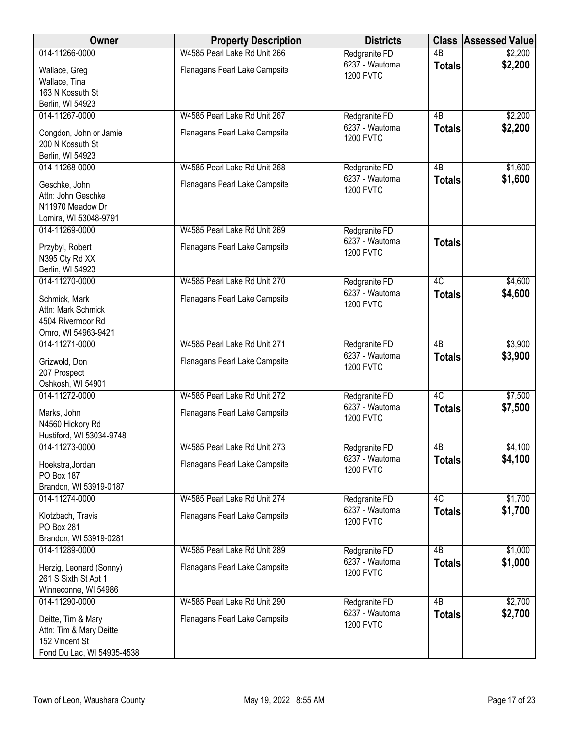| Owner                                                                                         | <b>Property Description</b>   | <b>Districts</b>                   | <b>Class</b>    | <b>Assessed Value</b> |
|-----------------------------------------------------------------------------------------------|-------------------------------|------------------------------------|-----------------|-----------------------|
| 014-11266-0000                                                                                | W4585 Pearl Lake Rd Unit 266  | Redgranite FD                      | $\overline{AB}$ | \$2,200               |
| Wallace, Greg<br>Wallace, Tina<br>163 N Kossuth St                                            | Flanagans Pearl Lake Campsite | 6237 - Wautoma<br><b>1200 FVTC</b> | <b>Totals</b>   | \$2,200               |
| Berlin, WI 54923                                                                              |                               |                                    |                 |                       |
| 014-11267-0000                                                                                | W4585 Pearl Lake Rd Unit 267  | Redgranite FD                      | 4B              | \$2,200               |
| Congdon, John or Jamie<br>200 N Kossuth St<br>Berlin, WI 54923                                | Flanagans Pearl Lake Campsite | 6237 - Wautoma<br><b>1200 FVTC</b> | <b>Totals</b>   | \$2,200               |
| 014-11268-0000                                                                                | W4585 Pearl Lake Rd Unit 268  | Redgranite FD                      | 4B              | \$1,600               |
| Geschke, John<br>Attn: John Geschke<br>N11970 Meadow Dr<br>Lomira, WI 53048-9791              | Flanagans Pearl Lake Campsite | 6237 - Wautoma<br><b>1200 FVTC</b> | <b>Totals</b>   | \$1,600               |
| 014-11269-0000                                                                                | W4585 Pearl Lake Rd Unit 269  | Redgranite FD                      |                 |                       |
| Przybyl, Robert<br>N395 Cty Rd XX<br>Berlin, WI 54923                                         | Flanagans Pearl Lake Campsite | 6237 - Wautoma<br><b>1200 FVTC</b> | <b>Totals</b>   |                       |
| 014-11270-0000                                                                                | W4585 Pearl Lake Rd Unit 270  | Redgranite FD                      | 4C              | \$4,600               |
| Schmick, Mark<br>Attn: Mark Schmick<br>4504 Rivermoor Rd<br>Omro, WI 54963-9421               | Flanagans Pearl Lake Campsite | 6237 - Wautoma<br><b>1200 FVTC</b> | <b>Totals</b>   | \$4,600               |
| 014-11271-0000                                                                                | W4585 Pearl Lake Rd Unit 271  | Redgranite FD                      | $\overline{AB}$ | \$3,900               |
| Grizwold, Don<br>207 Prospect<br>Oshkosh, WI 54901                                            | Flanagans Pearl Lake Campsite | 6237 - Wautoma<br><b>1200 FVTC</b> | <b>Totals</b>   | \$3,900               |
| 014-11272-0000                                                                                | W4585 Pearl Lake Rd Unit 272  | Redgranite FD                      | 4C              | \$7,500               |
| Marks, John<br>N4560 Hickory Rd<br>Hustiford, WI 53034-9748                                   | Flanagans Pearl Lake Campsite | 6237 - Wautoma<br><b>1200 FVTC</b> | <b>Totals</b>   | \$7,500               |
| 014-11273-0000                                                                                | W4585 Pearl Lake Rd Unit 273  | Redgranite FD                      | 4B              | \$4,100               |
| Hoekstra, Jordan<br>PO Box 187                                                                | Flanagans Pearl Lake Campsite | 6237 - Wautoma<br><b>1200 FVTC</b> | <b>Totals</b>   | \$4,100               |
| Brandon, WI 53919-0187<br>014-11274-0000                                                      | W4585 Pearl Lake Rd Unit 274  | Redgranite FD                      | 4C              | \$1,700               |
| Klotzbach, Travis<br>PO Box 281                                                               | Flanagans Pearl Lake Campsite | 6237 - Wautoma<br><b>1200 FVTC</b> | <b>Totals</b>   | \$1,700               |
| Brandon, WI 53919-0281                                                                        |                               |                                    |                 |                       |
| 014-11289-0000                                                                                | W4585 Pearl Lake Rd Unit 289  | Redgranite FD                      | $\overline{AB}$ | \$1,000               |
| Herzig, Leonard (Sonny)<br>261 S Sixth St Apt 1<br>Winneconne, WI 54986                       | Flanagans Pearl Lake Campsite | 6237 - Wautoma<br><b>1200 FVTC</b> | <b>Totals</b>   | \$1,000               |
| 014-11290-0000                                                                                | W4585 Pearl Lake Rd Unit 290  | Redgranite FD                      | 4B              | \$2,700               |
| Deitte, Tim & Mary<br>Attn: Tim & Mary Deitte<br>152 Vincent St<br>Fond Du Lac, WI 54935-4538 | Flanagans Pearl Lake Campsite | 6237 - Wautoma<br><b>1200 FVTC</b> | <b>Totals</b>   | \$2,700               |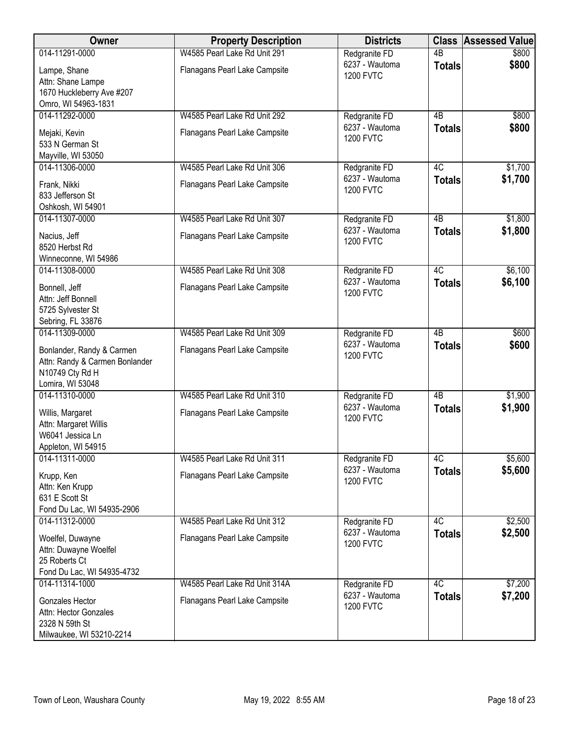| Owner                                                                                    | <b>Property Description</b>                                   | <b>Districts</b>                                    | <b>Class</b>        | <b>Assessed Value</b> |
|------------------------------------------------------------------------------------------|---------------------------------------------------------------|-----------------------------------------------------|---------------------|-----------------------|
| 014-11291-0000                                                                           | W4585 Pearl Lake Rd Unit 291                                  | Redgranite FD                                       | $\overline{AB}$     | \$800                 |
| Lampe, Shane<br>Attn: Shane Lampe                                                        | Flanagans Pearl Lake Campsite                                 | 6237 - Wautoma<br><b>1200 FVTC</b>                  | <b>Totals</b>       | \$800                 |
| 1670 Huckleberry Ave #207<br>Omro, WI 54963-1831                                         |                                                               |                                                     |                     |                       |
| 014-11292-0000                                                                           | W4585 Pearl Lake Rd Unit 292                                  | Redgranite FD                                       | 4B                  | \$800                 |
| Mejaki, Kevin<br>533 N German St                                                         | Flanagans Pearl Lake Campsite                                 | 6237 - Wautoma<br><b>1200 FVTC</b>                  | <b>Totals</b>       | \$800                 |
| Mayville, WI 53050                                                                       |                                                               |                                                     |                     |                       |
| 014-11306-0000                                                                           | W4585 Pearl Lake Rd Unit 306                                  | Redgranite FD                                       | 4C                  | \$1,700               |
| Frank, Nikki<br>833 Jefferson St                                                         | Flanagans Pearl Lake Campsite                                 | 6237 - Wautoma<br><b>1200 FVTC</b>                  | <b>Totals</b>       | \$1,700               |
| Oshkosh, WI 54901                                                                        | W4585 Pearl Lake Rd Unit 307                                  |                                                     |                     |                       |
| 014-11307-0000<br>Nacius, Jeff<br>8520 Herbst Rd                                         | Flanagans Pearl Lake Campsite                                 | Redgranite FD<br>6237 - Wautoma<br><b>1200 FVTC</b> | 4B<br><b>Totals</b> | \$1,800<br>\$1,800    |
| Winneconne, WI 54986                                                                     |                                                               |                                                     |                     |                       |
| 014-11308-0000                                                                           | W4585 Pearl Lake Rd Unit 308                                  | Redgranite FD<br>6237 - Wautoma                     | 4C<br><b>Totals</b> | \$6,100<br>\$6,100    |
| Bonnell, Jeff<br>Attn: Jeff Bonnell<br>5725 Sylvester St                                 | Flanagans Pearl Lake Campsite                                 | <b>1200 FVTC</b>                                    |                     |                       |
| Sebring, FL 33876                                                                        |                                                               |                                                     |                     |                       |
| 014-11309-0000<br>Bonlander, Randy & Carmen<br>Attn: Randy & Carmen Bonlander            | W4585 Pearl Lake Rd Unit 309<br>Flanagans Pearl Lake Campsite | Redgranite FD<br>6237 - Wautoma<br><b>1200 FVTC</b> | 4B<br><b>Totals</b> | \$600<br>\$600        |
| N10749 Cty Rd H<br>Lomira, WI 53048                                                      |                                                               |                                                     |                     |                       |
| 014-11310-0000                                                                           | W4585 Pearl Lake Rd Unit 310                                  | Redgranite FD                                       | $\overline{AB}$     | \$1,900               |
| Willis, Margaret<br>Attn: Margaret Willis<br>W6041 Jessica Ln<br>Appleton, WI 54915      | Flanagans Pearl Lake Campsite                                 | 6237 - Wautoma<br><b>1200 FVTC</b>                  | <b>Totals</b>       | \$1,900               |
| 014-11311-0000                                                                           | W4585 Pearl Lake Rd Unit 311                                  | Redgranite FD                                       | 4C                  | \$5,600               |
| Krupp, Ken<br>Attn: Ken Krupp<br>631 E Scott St                                          | Flanagans Pearl Lake Campsite                                 | 6237 - Wautoma<br><b>1200 FVTC</b>                  | <b>Totals</b>       | \$5,600               |
| Fond Du Lac, WI 54935-2906<br>014-11312-0000                                             | W4585 Pearl Lake Rd Unit 312                                  |                                                     | 4C                  |                       |
| Woelfel, Duwayne<br>Attn: Duwayne Woelfel<br>25 Roberts Ct<br>Fond Du Lac, WI 54935-4732 | Flanagans Pearl Lake Campsite                                 | Redgranite FD<br>6237 - Wautoma<br><b>1200 FVTC</b> | <b>Totals</b>       | \$2,500<br>\$2,500    |
| 014-11314-1000                                                                           | W4585 Pearl Lake Rd Unit 314A                                 | Redgranite FD                                       | 4C                  | \$7,200               |
| Gonzales Hector<br>Attn: Hector Gonzales<br>2328 N 59th St<br>Milwaukee, WI 53210-2214   | Flanagans Pearl Lake Campsite                                 | 6237 - Wautoma<br><b>1200 FVTC</b>                  | <b>Totals</b>       | \$7,200               |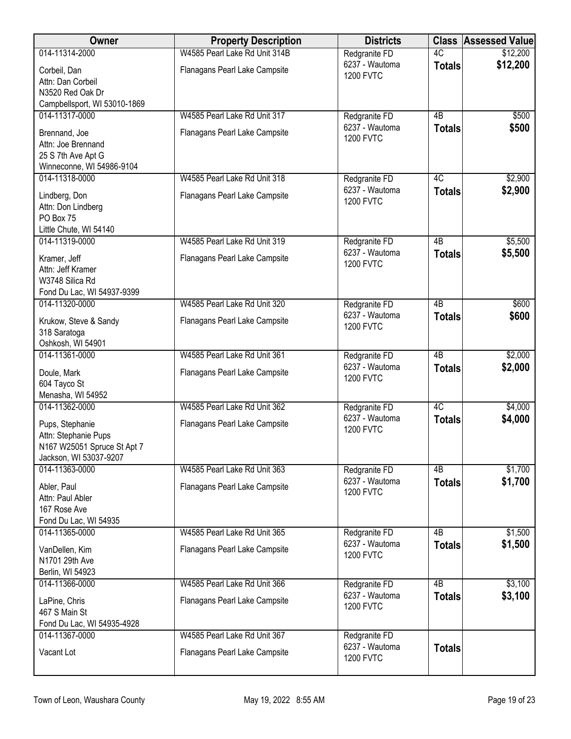| Owner                                                                                            | <b>Property Description</b>   | <b>Districts</b>                   | <b>Class</b>    | <b>Assessed Value</b> |
|--------------------------------------------------------------------------------------------------|-------------------------------|------------------------------------|-----------------|-----------------------|
| 014-11314-2000                                                                                   | W4585 Pearl Lake Rd Unit 314B | Redgranite FD                      | 4C              | \$12,200              |
| Corbeil, Dan<br>Attn: Dan Corbeil                                                                | Flanagans Pearl Lake Campsite | 6237 - Wautoma<br><b>1200 FVTC</b> | <b>Totals</b>   | \$12,200              |
| N3520 Red Oak Dr<br>Campbellsport, WI 53010-1869                                                 |                               |                                    |                 |                       |
| 014-11317-0000                                                                                   | W4585 Pearl Lake Rd Unit 317  | Redgranite FD                      | 4B              | \$500                 |
| Brennand, Joe<br>Attn: Joe Brennand<br>25 S 7th Ave Apt G<br>Winneconne, WI 54986-9104           | Flanagans Pearl Lake Campsite | 6237 - Wautoma<br><b>1200 FVTC</b> | <b>Totals</b>   | \$500                 |
| 014-11318-0000                                                                                   | W4585 Pearl Lake Rd Unit 318  | Redgranite FD                      | 4C              | \$2,900               |
| Lindberg, Don<br>Attn: Don Lindberg<br>PO Box 75<br>Little Chute, WI 54140                       | Flanagans Pearl Lake Campsite | 6237 - Wautoma<br><b>1200 FVTC</b> | <b>Totals</b>   | \$2,900               |
| 014-11319-0000                                                                                   | W4585 Pearl Lake Rd Unit 319  | Redgranite FD                      | $\overline{AB}$ | \$5,500               |
| Kramer, Jeff<br>Attn: Jeff Kramer<br>W3748 Silica Rd<br>Fond Du Lac, WI 54937-9399               | Flanagans Pearl Lake Campsite | 6237 - Wautoma<br><b>1200 FVTC</b> | <b>Totals</b>   | \$5,500               |
| 014-11320-0000                                                                                   | W4585 Pearl Lake Rd Unit 320  | Redgranite FD                      | $\overline{AB}$ | \$600                 |
| Krukow, Steve & Sandy<br>318 Saratoga<br>Oshkosh, WI 54901                                       | Flanagans Pearl Lake Campsite | 6237 - Wautoma<br><b>1200 FVTC</b> | <b>Totals</b>   | \$600                 |
| 014-11361-0000                                                                                   | W4585 Pearl Lake Rd Unit 361  | Redgranite FD                      | $\overline{AB}$ | \$2,000               |
| Doule, Mark<br>604 Tayco St<br>Menasha, WI 54952                                                 | Flanagans Pearl Lake Campsite | 6237 - Wautoma<br><b>1200 FVTC</b> | <b>Totals</b>   | \$2,000               |
| 014-11362-0000                                                                                   | W4585 Pearl Lake Rd Unit 362  | Redgranite FD                      | 4C              | \$4,000               |
| Pups, Stephanie<br>Attn: Stephanie Pups<br>N167 W25051 Spruce St Apt 7<br>Jackson, WI 53037-9207 | Flanagans Pearl Lake Campsite | 6237 - Wautoma<br><b>1200 FVTC</b> | <b>Totals</b>   | \$4,000               |
| 014-11363-0000                                                                                   | W4585 Pearl Lake Rd Unit 363  | Redgranite FD                      | 4B              | \$1,700               |
| Abler, Paul<br>Attn: Paul Abler<br>167 Rose Ave<br>Fond Du Lac, WI 54935                         | Flanagans Pearl Lake Campsite | 6237 - Wautoma<br><b>1200 FVTC</b> | <b>Totals</b>   | \$1,700               |
| 014-11365-0000                                                                                   | W4585 Pearl Lake Rd Unit 365  | Redgranite FD                      | 4B              | \$1,500               |
| VanDellen, Kim<br>N1701 29th Ave<br>Berlin, WI 54923                                             | Flanagans Pearl Lake Campsite | 6237 - Wautoma<br><b>1200 FVTC</b> | <b>Totals</b>   | \$1,500               |
| 014-11366-0000                                                                                   | W4585 Pearl Lake Rd Unit 366  | Redgranite FD                      | $\overline{AB}$ | \$3,100               |
| LaPine, Chris<br>467 S Main St<br>Fond Du Lac, WI 54935-4928                                     | Flanagans Pearl Lake Campsite | 6237 - Wautoma<br><b>1200 FVTC</b> | <b>Totals</b>   | \$3,100               |
| 014-11367-0000                                                                                   | W4585 Pearl Lake Rd Unit 367  | Redgranite FD                      |                 |                       |
| Vacant Lot                                                                                       | Flanagans Pearl Lake Campsite | 6237 - Wautoma<br><b>1200 FVTC</b> | <b>Totals</b>   |                       |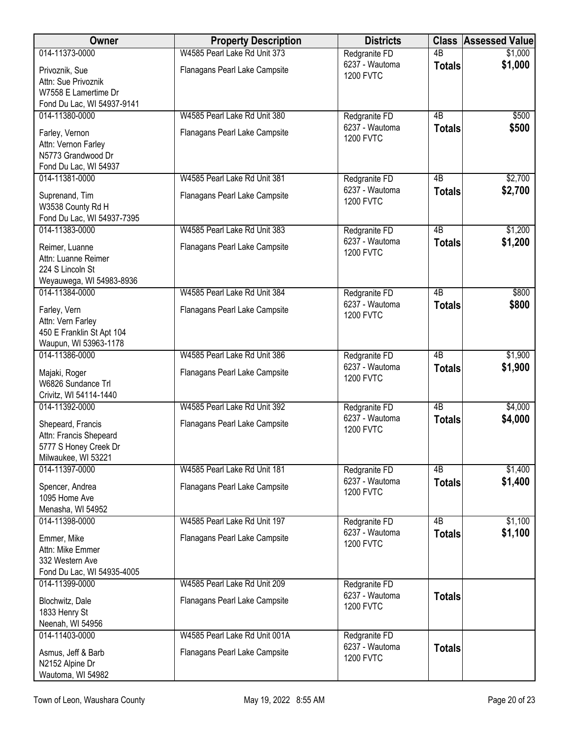| W4585 Pearl Lake Rd Unit 373<br>014-11373-0000<br>Redgranite FD<br>$\overline{AB}$<br>\$1,000<br>6237 - Wautoma<br>\$1,000<br><b>Totals</b><br>Privoznik, Sue<br>Flanagans Pearl Lake Campsite<br><b>1200 FVTC</b><br>Attn: Sue Privoznik<br>W7558 E Lamertime Dr<br>Fond Du Lac, WI 54937-9141<br>014-11380-0000<br>W4585 Pearl Lake Rd Unit 380<br>4B<br>\$500<br>Redgranite FD<br>6237 - Wautoma<br>\$500<br><b>Totals</b><br>Farley, Vernon<br>Flanagans Pearl Lake Campsite<br><b>1200 FVTC</b><br>Attn: Vernon Farley<br>N5773 Grandwood Dr<br>Fond Du Lac, WI 54937<br>014-11381-0000<br>W4585 Pearl Lake Rd Unit 381<br>4B<br>\$2,700<br>Redgranite FD<br>6237 - Wautoma<br>\$2,700<br><b>Totals</b><br>Flanagans Pearl Lake Campsite<br>Suprenand, Tim<br><b>1200 FVTC</b><br>W3538 County Rd H<br>Fond Du Lac, WI 54937-7395<br>$\overline{AB}$<br>014-11383-0000<br>\$1,200<br>W4585 Pearl Lake Rd Unit 383<br>Redgranite FD<br>6237 - Wautoma<br>\$1,200<br><b>Totals</b><br>Reimer, Luanne<br>Flanagans Pearl Lake Campsite<br><b>1200 FVTC</b><br>Attn: Luanne Reimer<br>224 S Lincoln St<br>Weyauwega, WI 54983-8936<br>014-11384-0000<br>W4585 Pearl Lake Rd Unit 384<br>$\overline{AB}$<br>\$800<br>Redgranite FD<br>6237 - Wautoma<br>\$800<br><b>Totals</b><br>Farley, Vern<br>Flanagans Pearl Lake Campsite<br><b>1200 FVTC</b><br>Attn: Vern Farley<br>450 E Franklin St Apt 104<br>Waupun, WI 53963-1178<br>014-11386-0000<br>W4585 Pearl Lake Rd Unit 386<br>Redgranite FD<br>4B<br>\$1,900<br>6237 - Wautoma<br>\$1,900<br><b>Totals</b><br>Flanagans Pearl Lake Campsite<br>Majaki, Roger<br><b>1200 FVTC</b><br>W6826 Sundance Trl | Owner | <b>Property Description</b> | <b>Districts</b> | <b>Class</b> | <b>Assessed Value</b> |
|--------------------------------------------------------------------------------------------------------------------------------------------------------------------------------------------------------------------------------------------------------------------------------------------------------------------------------------------------------------------------------------------------------------------------------------------------------------------------------------------------------------------------------------------------------------------------------------------------------------------------------------------------------------------------------------------------------------------------------------------------------------------------------------------------------------------------------------------------------------------------------------------------------------------------------------------------------------------------------------------------------------------------------------------------------------------------------------------------------------------------------------------------------------------------------------------------------------------------------------------------------------------------------------------------------------------------------------------------------------------------------------------------------------------------------------------------------------------------------------------------------------------------------------------------------------------------------------------------------------------------------------------------------------|-------|-----------------------------|------------------|--------------|-----------------------|
|                                                                                                                                                                                                                                                                                                                                                                                                                                                                                                                                                                                                                                                                                                                                                                                                                                                                                                                                                                                                                                                                                                                                                                                                                                                                                                                                                                                                                                                                                                                                                                                                                                                              |       |                             |                  |              |                       |
|                                                                                                                                                                                                                                                                                                                                                                                                                                                                                                                                                                                                                                                                                                                                                                                                                                                                                                                                                                                                                                                                                                                                                                                                                                                                                                                                                                                                                                                                                                                                                                                                                                                              |       |                             |                  |              |                       |
|                                                                                                                                                                                                                                                                                                                                                                                                                                                                                                                                                                                                                                                                                                                                                                                                                                                                                                                                                                                                                                                                                                                                                                                                                                                                                                                                                                                                                                                                                                                                                                                                                                                              |       |                             |                  |              |                       |
|                                                                                                                                                                                                                                                                                                                                                                                                                                                                                                                                                                                                                                                                                                                                                                                                                                                                                                                                                                                                                                                                                                                                                                                                                                                                                                                                                                                                                                                                                                                                                                                                                                                              |       |                             |                  |              |                       |
|                                                                                                                                                                                                                                                                                                                                                                                                                                                                                                                                                                                                                                                                                                                                                                                                                                                                                                                                                                                                                                                                                                                                                                                                                                                                                                                                                                                                                                                                                                                                                                                                                                                              |       |                             |                  |              |                       |
|                                                                                                                                                                                                                                                                                                                                                                                                                                                                                                                                                                                                                                                                                                                                                                                                                                                                                                                                                                                                                                                                                                                                                                                                                                                                                                                                                                                                                                                                                                                                                                                                                                                              |       |                             |                  |              |                       |
|                                                                                                                                                                                                                                                                                                                                                                                                                                                                                                                                                                                                                                                                                                                                                                                                                                                                                                                                                                                                                                                                                                                                                                                                                                                                                                                                                                                                                                                                                                                                                                                                                                                              |       |                             |                  |              |                       |
|                                                                                                                                                                                                                                                                                                                                                                                                                                                                                                                                                                                                                                                                                                                                                                                                                                                                                                                                                                                                                                                                                                                                                                                                                                                                                                                                                                                                                                                                                                                                                                                                                                                              |       |                             |                  |              |                       |
|                                                                                                                                                                                                                                                                                                                                                                                                                                                                                                                                                                                                                                                                                                                                                                                                                                                                                                                                                                                                                                                                                                                                                                                                                                                                                                                                                                                                                                                                                                                                                                                                                                                              |       |                             |                  |              |                       |
|                                                                                                                                                                                                                                                                                                                                                                                                                                                                                                                                                                                                                                                                                                                                                                                                                                                                                                                                                                                                                                                                                                                                                                                                                                                                                                                                                                                                                                                                                                                                                                                                                                                              |       |                             |                  |              |                       |
|                                                                                                                                                                                                                                                                                                                                                                                                                                                                                                                                                                                                                                                                                                                                                                                                                                                                                                                                                                                                                                                                                                                                                                                                                                                                                                                                                                                                                                                                                                                                                                                                                                                              |       |                             |                  |              |                       |
|                                                                                                                                                                                                                                                                                                                                                                                                                                                                                                                                                                                                                                                                                                                                                                                                                                                                                                                                                                                                                                                                                                                                                                                                                                                                                                                                                                                                                                                                                                                                                                                                                                                              |       |                             |                  |              |                       |
|                                                                                                                                                                                                                                                                                                                                                                                                                                                                                                                                                                                                                                                                                                                                                                                                                                                                                                                                                                                                                                                                                                                                                                                                                                                                                                                                                                                                                                                                                                                                                                                                                                                              |       |                             |                  |              |                       |
|                                                                                                                                                                                                                                                                                                                                                                                                                                                                                                                                                                                                                                                                                                                                                                                                                                                                                                                                                                                                                                                                                                                                                                                                                                                                                                                                                                                                                                                                                                                                                                                                                                                              |       |                             |                  |              |                       |
|                                                                                                                                                                                                                                                                                                                                                                                                                                                                                                                                                                                                                                                                                                                                                                                                                                                                                                                                                                                                                                                                                                                                                                                                                                                                                                                                                                                                                                                                                                                                                                                                                                                              |       |                             |                  |              |                       |
|                                                                                                                                                                                                                                                                                                                                                                                                                                                                                                                                                                                                                                                                                                                                                                                                                                                                                                                                                                                                                                                                                                                                                                                                                                                                                                                                                                                                                                                                                                                                                                                                                                                              |       |                             |                  |              |                       |
|                                                                                                                                                                                                                                                                                                                                                                                                                                                                                                                                                                                                                                                                                                                                                                                                                                                                                                                                                                                                                                                                                                                                                                                                                                                                                                                                                                                                                                                                                                                                                                                                                                                              |       |                             |                  |              |                       |
|                                                                                                                                                                                                                                                                                                                                                                                                                                                                                                                                                                                                                                                                                                                                                                                                                                                                                                                                                                                                                                                                                                                                                                                                                                                                                                                                                                                                                                                                                                                                                                                                                                                              |       |                             |                  |              |                       |
|                                                                                                                                                                                                                                                                                                                                                                                                                                                                                                                                                                                                                                                                                                                                                                                                                                                                                                                                                                                                                                                                                                                                                                                                                                                                                                                                                                                                                                                                                                                                                                                                                                                              |       |                             |                  |              |                       |
|                                                                                                                                                                                                                                                                                                                                                                                                                                                                                                                                                                                                                                                                                                                                                                                                                                                                                                                                                                                                                                                                                                                                                                                                                                                                                                                                                                                                                                                                                                                                                                                                                                                              |       |                             |                  |              |                       |
|                                                                                                                                                                                                                                                                                                                                                                                                                                                                                                                                                                                                                                                                                                                                                                                                                                                                                                                                                                                                                                                                                                                                                                                                                                                                                                                                                                                                                                                                                                                                                                                                                                                              |       |                             |                  |              |                       |
|                                                                                                                                                                                                                                                                                                                                                                                                                                                                                                                                                                                                                                                                                                                                                                                                                                                                                                                                                                                                                                                                                                                                                                                                                                                                                                                                                                                                                                                                                                                                                                                                                                                              |       |                             |                  |              |                       |
|                                                                                                                                                                                                                                                                                                                                                                                                                                                                                                                                                                                                                                                                                                                                                                                                                                                                                                                                                                                                                                                                                                                                                                                                                                                                                                                                                                                                                                                                                                                                                                                                                                                              |       |                             |                  |              |                       |
|                                                                                                                                                                                                                                                                                                                                                                                                                                                                                                                                                                                                                                                                                                                                                                                                                                                                                                                                                                                                                                                                                                                                                                                                                                                                                                                                                                                                                                                                                                                                                                                                                                                              |       |                             |                  |              |                       |
|                                                                                                                                                                                                                                                                                                                                                                                                                                                                                                                                                                                                                                                                                                                                                                                                                                                                                                                                                                                                                                                                                                                                                                                                                                                                                                                                                                                                                                                                                                                                                                                                                                                              |       |                             |                  |              |                       |
| Crivitz, WI 54114-1440<br>$\overline{AB}$<br>014-11392-0000<br>W4585 Pearl Lake Rd Unit 392<br>\$4,000<br>Redgranite FD                                                                                                                                                                                                                                                                                                                                                                                                                                                                                                                                                                                                                                                                                                                                                                                                                                                                                                                                                                                                                                                                                                                                                                                                                                                                                                                                                                                                                                                                                                                                      |       |                             |                  |              |                       |
| 6237 - Wautoma<br>\$4,000<br><b>Totals</b>                                                                                                                                                                                                                                                                                                                                                                                                                                                                                                                                                                                                                                                                                                                                                                                                                                                                                                                                                                                                                                                                                                                                                                                                                                                                                                                                                                                                                                                                                                                                                                                                                   |       |                             |                  |              |                       |
| Flanagans Pearl Lake Campsite<br>Shepeard, Francis<br><b>1200 FVTC</b><br>Attn: Francis Shepeard                                                                                                                                                                                                                                                                                                                                                                                                                                                                                                                                                                                                                                                                                                                                                                                                                                                                                                                                                                                                                                                                                                                                                                                                                                                                                                                                                                                                                                                                                                                                                             |       |                             |                  |              |                       |
| 5777 S Honey Creek Dr                                                                                                                                                                                                                                                                                                                                                                                                                                                                                                                                                                                                                                                                                                                                                                                                                                                                                                                                                                                                                                                                                                                                                                                                                                                                                                                                                                                                                                                                                                                                                                                                                                        |       |                             |                  |              |                       |
| Milwaukee, WI 53221                                                                                                                                                                                                                                                                                                                                                                                                                                                                                                                                                                                                                                                                                                                                                                                                                                                                                                                                                                                                                                                                                                                                                                                                                                                                                                                                                                                                                                                                                                                                                                                                                                          |       |                             |                  |              |                       |
| 014-11397-0000<br>W4585 Pearl Lake Rd Unit 181<br>4B<br>\$1,400<br>Redgranite FD                                                                                                                                                                                                                                                                                                                                                                                                                                                                                                                                                                                                                                                                                                                                                                                                                                                                                                                                                                                                                                                                                                                                                                                                                                                                                                                                                                                                                                                                                                                                                                             |       |                             |                  |              |                       |
| 6237 - Wautoma<br>\$1,400<br><b>Totals</b><br>Flanagans Pearl Lake Campsite<br>Spencer, Andrea<br><b>1200 FVTC</b>                                                                                                                                                                                                                                                                                                                                                                                                                                                                                                                                                                                                                                                                                                                                                                                                                                                                                                                                                                                                                                                                                                                                                                                                                                                                                                                                                                                                                                                                                                                                           |       |                             |                  |              |                       |
| 1095 Home Ave                                                                                                                                                                                                                                                                                                                                                                                                                                                                                                                                                                                                                                                                                                                                                                                                                                                                                                                                                                                                                                                                                                                                                                                                                                                                                                                                                                                                                                                                                                                                                                                                                                                |       |                             |                  |              |                       |
| Menasha, WI 54952<br>4B<br>\$1,100<br>014-11398-0000<br>W4585 Pearl Lake Rd Unit 197<br>Redgranite FD                                                                                                                                                                                                                                                                                                                                                                                                                                                                                                                                                                                                                                                                                                                                                                                                                                                                                                                                                                                                                                                                                                                                                                                                                                                                                                                                                                                                                                                                                                                                                        |       |                             |                  |              |                       |
| 6237 - Wautoma<br>\$1,100<br><b>Totals</b>                                                                                                                                                                                                                                                                                                                                                                                                                                                                                                                                                                                                                                                                                                                                                                                                                                                                                                                                                                                                                                                                                                                                                                                                                                                                                                                                                                                                                                                                                                                                                                                                                   |       |                             |                  |              |                       |
| Flanagans Pearl Lake Campsite<br>Emmer, Mike<br><b>1200 FVTC</b><br>Attn: Mike Emmer                                                                                                                                                                                                                                                                                                                                                                                                                                                                                                                                                                                                                                                                                                                                                                                                                                                                                                                                                                                                                                                                                                                                                                                                                                                                                                                                                                                                                                                                                                                                                                         |       |                             |                  |              |                       |
| 332 Western Ave                                                                                                                                                                                                                                                                                                                                                                                                                                                                                                                                                                                                                                                                                                                                                                                                                                                                                                                                                                                                                                                                                                                                                                                                                                                                                                                                                                                                                                                                                                                                                                                                                                              |       |                             |                  |              |                       |
| Fond Du Lac, WI 54935-4005                                                                                                                                                                                                                                                                                                                                                                                                                                                                                                                                                                                                                                                                                                                                                                                                                                                                                                                                                                                                                                                                                                                                                                                                                                                                                                                                                                                                                                                                                                                                                                                                                                   |       |                             |                  |              |                       |
| W4585 Pearl Lake Rd Unit 209<br>014-11399-0000<br>Redgranite FD                                                                                                                                                                                                                                                                                                                                                                                                                                                                                                                                                                                                                                                                                                                                                                                                                                                                                                                                                                                                                                                                                                                                                                                                                                                                                                                                                                                                                                                                                                                                                                                              |       |                             |                  |              |                       |
| 6237 - Wautoma<br><b>Totals</b><br>Flanagans Pearl Lake Campsite<br>Blochwitz, Dale<br><b>1200 FVTC</b>                                                                                                                                                                                                                                                                                                                                                                                                                                                                                                                                                                                                                                                                                                                                                                                                                                                                                                                                                                                                                                                                                                                                                                                                                                                                                                                                                                                                                                                                                                                                                      |       |                             |                  |              |                       |
| 1833 Henry St                                                                                                                                                                                                                                                                                                                                                                                                                                                                                                                                                                                                                                                                                                                                                                                                                                                                                                                                                                                                                                                                                                                                                                                                                                                                                                                                                                                                                                                                                                                                                                                                                                                |       |                             |                  |              |                       |
| Neenah, WI 54956                                                                                                                                                                                                                                                                                                                                                                                                                                                                                                                                                                                                                                                                                                                                                                                                                                                                                                                                                                                                                                                                                                                                                                                                                                                                                                                                                                                                                                                                                                                                                                                                                                             |       |                             |                  |              |                       |
| 014-11403-0000<br>W4585 Pearl Lake Rd Unit 001A<br>Redgranite FD<br>6237 - Wautoma<br><b>Totals</b>                                                                                                                                                                                                                                                                                                                                                                                                                                                                                                                                                                                                                                                                                                                                                                                                                                                                                                                                                                                                                                                                                                                                                                                                                                                                                                                                                                                                                                                                                                                                                          |       |                             |                  |              |                       |
| Flanagans Pearl Lake Campsite<br>Asmus, Jeff & Barb<br><b>1200 FVTC</b>                                                                                                                                                                                                                                                                                                                                                                                                                                                                                                                                                                                                                                                                                                                                                                                                                                                                                                                                                                                                                                                                                                                                                                                                                                                                                                                                                                                                                                                                                                                                                                                      |       |                             |                  |              |                       |
| N2152 Alpine Dr<br>Wautoma, WI 54982                                                                                                                                                                                                                                                                                                                                                                                                                                                                                                                                                                                                                                                                                                                                                                                                                                                                                                                                                                                                                                                                                                                                                                                                                                                                                                                                                                                                                                                                                                                                                                                                                         |       |                             |                  |              |                       |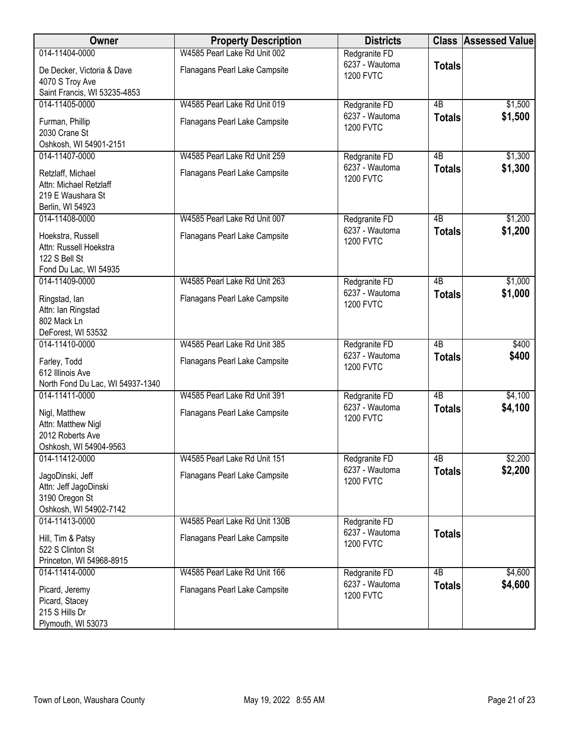| Owner                                                                                 | <b>Property Description</b>   | <b>Districts</b>                   |                 | <b>Class Assessed Value</b> |
|---------------------------------------------------------------------------------------|-------------------------------|------------------------------------|-----------------|-----------------------------|
| 014-11404-0000                                                                        | W4585 Pearl Lake Rd Unit 002  | Redgranite FD                      |                 |                             |
| De Decker, Victoria & Dave<br>4070 S Troy Ave                                         | Flanagans Pearl Lake Campsite | 6237 - Wautoma<br><b>1200 FVTC</b> | <b>Totals</b>   |                             |
| Saint Francis, WI 53235-4853                                                          |                               |                                    |                 |                             |
| 014-11405-0000                                                                        | W4585 Pearl Lake Rd Unit 019  | Redgranite FD                      | $\overline{AB}$ | \$1,500                     |
| Furman, Phillip<br>2030 Crane St<br>Oshkosh, WI 54901-2151                            | Flanagans Pearl Lake Campsite | 6237 - Wautoma<br><b>1200 FVTC</b> | <b>Totals</b>   | \$1,500                     |
| 014-11407-0000                                                                        | W4585 Pearl Lake Rd Unit 259  | Redgranite FD                      | 4B              | \$1,300                     |
| Retzlaff, Michael<br>Attn: Michael Retzlaff<br>219 E Waushara St<br>Berlin, WI 54923  | Flanagans Pearl Lake Campsite | 6237 - Wautoma<br><b>1200 FVTC</b> | <b>Totals</b>   | \$1,300                     |
| 014-11408-0000                                                                        | W4585 Pearl Lake Rd Unit 007  | Redgranite FD                      | 4B              | \$1,200                     |
| Hoekstra, Russell<br>Attn: Russell Hoekstra<br>122 S Bell St<br>Fond Du Lac, WI 54935 | Flanagans Pearl Lake Campsite | 6237 - Wautoma<br><b>1200 FVTC</b> | <b>Totals</b>   | \$1,200                     |
| 014-11409-0000                                                                        | W4585 Pearl Lake Rd Unit 263  | Redgranite FD                      | 4B              | \$1,000                     |
| Ringstad, lan<br>Attn: Ian Ringstad<br>802 Mack Ln<br>DeForest, WI 53532              | Flanagans Pearl Lake Campsite | 6237 - Wautoma<br><b>1200 FVTC</b> | <b>Totals</b>   | \$1,000                     |
| 014-11410-0000                                                                        | W4585 Pearl Lake Rd Unit 385  | Redgranite FD                      | $\overline{AB}$ | \$400                       |
| Farley, Todd<br>612 Illinois Ave<br>North Fond Du Lac, WI 54937-1340                  | Flanagans Pearl Lake Campsite | 6237 - Wautoma<br><b>1200 FVTC</b> | <b>Totals</b>   | \$400                       |
| 014-11411-0000                                                                        | W4585 Pearl Lake Rd Unit 391  | Redgranite FD                      | $\overline{AB}$ | \$4,100                     |
| Nigl, Matthew<br>Attn: Matthew Nigl<br>2012 Roberts Ave<br>Oshkosh, WI 54904-9563     | Flanagans Pearl Lake Campsite | 6237 - Wautoma<br><b>1200 FVTC</b> | <b>Totals</b>   | \$4,100                     |
| 014-11412-0000                                                                        | W4585 Pearl Lake Rd Unit 151  | Redgranite FD                      | 4B              | \$2,200                     |
| JagoDinski, Jeff<br>Attn: Jeff JagoDinski<br>3190 Oregon St<br>Oshkosh, WI 54902-7142 | Flanagans Pearl Lake Campsite | 6237 - Wautoma<br><b>1200 FVTC</b> | <b>Totals</b>   | \$2,200                     |
| 014-11413-0000                                                                        | W4585 Pearl Lake Rd Unit 130B | Redgranite FD                      |                 |                             |
| Hill, Tim & Patsy<br>522 S Clinton St<br>Princeton, WI 54968-8915                     | Flanagans Pearl Lake Campsite | 6237 - Wautoma<br><b>1200 FVTC</b> | <b>Totals</b>   |                             |
| 014-11414-0000                                                                        | W4585 Pearl Lake Rd Unit 166  | Redgranite FD                      | 4B              | \$4,600                     |
| Picard, Jeremy<br>Picard, Stacey<br>215 S Hills Dr<br>Plymouth, WI 53073              | Flanagans Pearl Lake Campsite | 6237 - Wautoma<br><b>1200 FVTC</b> | <b>Totals</b>   | \$4,600                     |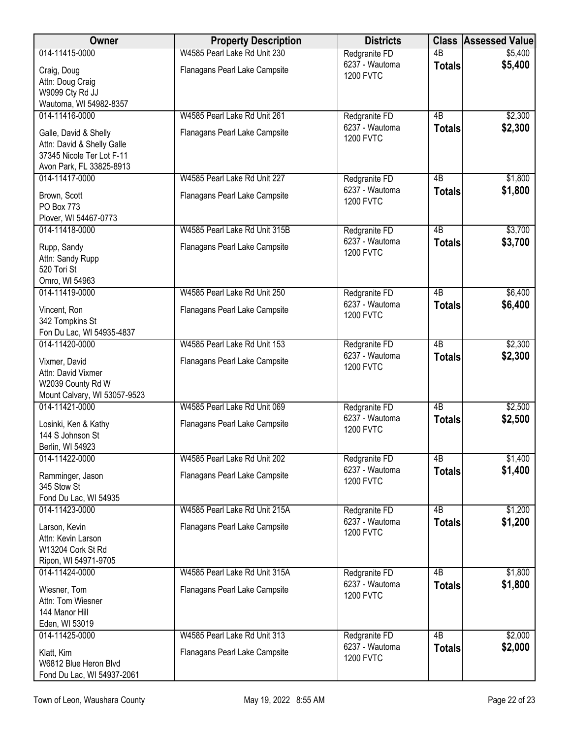| 6237 - Wautoma<br>\$5,400<br><b>Totals</b><br>Craig, Doug<br>Flanagans Pearl Lake Campsite<br><b>1200 FVTC</b><br>Attn: Doug Craig<br>W9099 Cty Rd JJ<br>Wautoma, WI 54982-8357<br>014-11416-0000<br>W4585 Pearl Lake Rd Unit 261<br>4B<br>\$2,300<br>Redgranite FD<br>6237 - Wautoma<br>\$2,300<br><b>Totals</b><br>Galle, David & Shelly<br>Flanagans Pearl Lake Campsite<br><b>1200 FVTC</b><br>Attn: David & Shelly Galle<br>37345 Nicole Ter Lot F-11<br>Avon Park, FL 33825-8913<br>014-11417-0000<br>W4585 Pearl Lake Rd Unit 227<br>4B<br>\$1,800<br>Redgranite FD<br>6237 - Wautoma<br>\$1,800<br><b>Totals</b><br>Brown, Scott<br>Flanagans Pearl Lake Campsite<br><b>1200 FVTC</b><br>PO Box 773<br>Plover, WI 54467-0773<br>014-11418-0000<br>$\overline{AB}$<br>\$3,700<br>W4585 Pearl Lake Rd Unit 315B<br>Redgranite FD<br>6237 - Wautoma<br>\$3,700<br><b>Totals</b><br>Rupp, Sandy<br>Flanagans Pearl Lake Campsite<br><b>1200 FVTC</b><br>Attn: Sandy Rupp<br>520 Tori St<br>Omro, WI 54963<br>\$6,400<br>014-11419-0000<br>W4585 Pearl Lake Rd Unit 250<br>$\overline{AB}$<br>Redgranite FD<br>6237 - Wautoma<br>\$6,400<br><b>Totals</b><br>Vincent, Ron<br>Flanagans Pearl Lake Campsite<br><b>1200 FVTC</b><br>342 Tompkins St<br>Fon Du Lac, WI 54935-4837<br>\$2,300<br>014-11420-0000<br>W4585 Pearl Lake Rd Unit 153<br>Redgranite FD<br>4B<br>6237 - Wautoma<br>\$2,300<br><b>Totals</b><br>Vixmer, David<br>Flanagans Pearl Lake Campsite<br><b>1200 FVTC</b><br>Attn: David Vixmer<br>W2039 County Rd W<br>Mount Calvary, WI 53057-9523<br>014-11421-0000<br>W4585 Pearl Lake Rd Unit 069<br>4B<br>\$2,500<br>Redgranite FD<br>6237 - Wautoma<br>\$2,500<br><b>Totals</b><br>Flanagans Pearl Lake Campsite<br>Losinki, Ken & Kathy<br><b>1200 FVTC</b><br>144 S Johnson St<br>Berlin, WI 54923<br>014-11422-0000<br>W4585 Pearl Lake Rd Unit 202<br>4B<br>\$1,400<br>Redgranite FD<br>6237 - Wautoma<br>\$1,400<br><b>Totals</b><br>Flanagans Pearl Lake Campsite<br>Ramminger, Jason<br><b>1200 FVTC</b><br>345 Stow St<br>Fond Du Lac, WI 54935<br>W4585 Pearl Lake Rd Unit 215A<br>4B<br>\$1,200<br>014-11423-0000<br>Redgranite FD<br>6237 - Wautoma<br>\$1,200<br><b>Totals</b><br>Flanagans Pearl Lake Campsite<br>Larson, Kevin<br><b>1200 FVTC</b><br>Attn: Kevin Larson<br>W13204 Cork St Rd<br>Ripon, WI 54971-9705<br>014-11424-0000<br>W4585 Pearl Lake Rd Unit 315A<br>4B<br>\$1,800<br>Redgranite FD<br>\$1,800<br>6237 - Wautoma<br><b>Totals</b><br>Wiesner, Tom<br>Flanagans Pearl Lake Campsite<br><b>1200 FVTC</b><br>Attn: Tom Wiesner<br>144 Manor Hill<br>Eden, WI 53019<br>014-11425-0000<br>W4585 Pearl Lake Rd Unit 313<br>4B<br>\$2,000<br>Redgranite FD<br>6237 - Wautoma<br>\$2,000<br><b>Totals</b><br>Klatt, Kim<br>Flanagans Pearl Lake Campsite<br><b>1200 FVTC</b><br>W6812 Blue Heron Blvd | Owner                      | <b>Property Description</b>  | <b>Districts</b> | <b>Class</b>    | <b>Assessed Value</b> |
|-----------------------------------------------------------------------------------------------------------------------------------------------------------------------------------------------------------------------------------------------------------------------------------------------------------------------------------------------------------------------------------------------------------------------------------------------------------------------------------------------------------------------------------------------------------------------------------------------------------------------------------------------------------------------------------------------------------------------------------------------------------------------------------------------------------------------------------------------------------------------------------------------------------------------------------------------------------------------------------------------------------------------------------------------------------------------------------------------------------------------------------------------------------------------------------------------------------------------------------------------------------------------------------------------------------------------------------------------------------------------------------------------------------------------------------------------------------------------------------------------------------------------------------------------------------------------------------------------------------------------------------------------------------------------------------------------------------------------------------------------------------------------------------------------------------------------------------------------------------------------------------------------------------------------------------------------------------------------------------------------------------------------------------------------------------------------------------------------------------------------------------------------------------------------------------------------------------------------------------------------------------------------------------------------------------------------------------------------------------------------------------------------------------------------------------------------------------------------------------------------------------------------------------------------------------------------------------------------------------------------------------------------------------------------------------------------------------------------------------------------------------------------------------------------------------------------------------------------------------|----------------------------|------------------------------|------------------|-----------------|-----------------------|
|                                                                                                                                                                                                                                                                                                                                                                                                                                                                                                                                                                                                                                                                                                                                                                                                                                                                                                                                                                                                                                                                                                                                                                                                                                                                                                                                                                                                                                                                                                                                                                                                                                                                                                                                                                                                                                                                                                                                                                                                                                                                                                                                                                                                                                                                                                                                                                                                                                                                                                                                                                                                                                                                                                                                                                                                                                                           | 014-11415-0000             | W4585 Pearl Lake Rd Unit 230 | Redgranite FD    | $\overline{AB}$ | \$5,400               |
|                                                                                                                                                                                                                                                                                                                                                                                                                                                                                                                                                                                                                                                                                                                                                                                                                                                                                                                                                                                                                                                                                                                                                                                                                                                                                                                                                                                                                                                                                                                                                                                                                                                                                                                                                                                                                                                                                                                                                                                                                                                                                                                                                                                                                                                                                                                                                                                                                                                                                                                                                                                                                                                                                                                                                                                                                                                           |                            |                              |                  |                 |                       |
|                                                                                                                                                                                                                                                                                                                                                                                                                                                                                                                                                                                                                                                                                                                                                                                                                                                                                                                                                                                                                                                                                                                                                                                                                                                                                                                                                                                                                                                                                                                                                                                                                                                                                                                                                                                                                                                                                                                                                                                                                                                                                                                                                                                                                                                                                                                                                                                                                                                                                                                                                                                                                                                                                                                                                                                                                                                           |                            |                              |                  |                 |                       |
|                                                                                                                                                                                                                                                                                                                                                                                                                                                                                                                                                                                                                                                                                                                                                                                                                                                                                                                                                                                                                                                                                                                                                                                                                                                                                                                                                                                                                                                                                                                                                                                                                                                                                                                                                                                                                                                                                                                                                                                                                                                                                                                                                                                                                                                                                                                                                                                                                                                                                                                                                                                                                                                                                                                                                                                                                                                           |                            |                              |                  |                 |                       |
|                                                                                                                                                                                                                                                                                                                                                                                                                                                                                                                                                                                                                                                                                                                                                                                                                                                                                                                                                                                                                                                                                                                                                                                                                                                                                                                                                                                                                                                                                                                                                                                                                                                                                                                                                                                                                                                                                                                                                                                                                                                                                                                                                                                                                                                                                                                                                                                                                                                                                                                                                                                                                                                                                                                                                                                                                                                           |                            |                              |                  |                 |                       |
|                                                                                                                                                                                                                                                                                                                                                                                                                                                                                                                                                                                                                                                                                                                                                                                                                                                                                                                                                                                                                                                                                                                                                                                                                                                                                                                                                                                                                                                                                                                                                                                                                                                                                                                                                                                                                                                                                                                                                                                                                                                                                                                                                                                                                                                                                                                                                                                                                                                                                                                                                                                                                                                                                                                                                                                                                                                           |                            |                              |                  |                 |                       |
|                                                                                                                                                                                                                                                                                                                                                                                                                                                                                                                                                                                                                                                                                                                                                                                                                                                                                                                                                                                                                                                                                                                                                                                                                                                                                                                                                                                                                                                                                                                                                                                                                                                                                                                                                                                                                                                                                                                                                                                                                                                                                                                                                                                                                                                                                                                                                                                                                                                                                                                                                                                                                                                                                                                                                                                                                                                           |                            |                              |                  |                 |                       |
|                                                                                                                                                                                                                                                                                                                                                                                                                                                                                                                                                                                                                                                                                                                                                                                                                                                                                                                                                                                                                                                                                                                                                                                                                                                                                                                                                                                                                                                                                                                                                                                                                                                                                                                                                                                                                                                                                                                                                                                                                                                                                                                                                                                                                                                                                                                                                                                                                                                                                                                                                                                                                                                                                                                                                                                                                                                           |                            |                              |                  |                 |                       |
|                                                                                                                                                                                                                                                                                                                                                                                                                                                                                                                                                                                                                                                                                                                                                                                                                                                                                                                                                                                                                                                                                                                                                                                                                                                                                                                                                                                                                                                                                                                                                                                                                                                                                                                                                                                                                                                                                                                                                                                                                                                                                                                                                                                                                                                                                                                                                                                                                                                                                                                                                                                                                                                                                                                                                                                                                                                           |                            |                              |                  |                 |                       |
|                                                                                                                                                                                                                                                                                                                                                                                                                                                                                                                                                                                                                                                                                                                                                                                                                                                                                                                                                                                                                                                                                                                                                                                                                                                                                                                                                                                                                                                                                                                                                                                                                                                                                                                                                                                                                                                                                                                                                                                                                                                                                                                                                                                                                                                                                                                                                                                                                                                                                                                                                                                                                                                                                                                                                                                                                                                           |                            |                              |                  |                 |                       |
|                                                                                                                                                                                                                                                                                                                                                                                                                                                                                                                                                                                                                                                                                                                                                                                                                                                                                                                                                                                                                                                                                                                                                                                                                                                                                                                                                                                                                                                                                                                                                                                                                                                                                                                                                                                                                                                                                                                                                                                                                                                                                                                                                                                                                                                                                                                                                                                                                                                                                                                                                                                                                                                                                                                                                                                                                                                           |                            |                              |                  |                 |                       |
|                                                                                                                                                                                                                                                                                                                                                                                                                                                                                                                                                                                                                                                                                                                                                                                                                                                                                                                                                                                                                                                                                                                                                                                                                                                                                                                                                                                                                                                                                                                                                                                                                                                                                                                                                                                                                                                                                                                                                                                                                                                                                                                                                                                                                                                                                                                                                                                                                                                                                                                                                                                                                                                                                                                                                                                                                                                           |                            |                              |                  |                 |                       |
|                                                                                                                                                                                                                                                                                                                                                                                                                                                                                                                                                                                                                                                                                                                                                                                                                                                                                                                                                                                                                                                                                                                                                                                                                                                                                                                                                                                                                                                                                                                                                                                                                                                                                                                                                                                                                                                                                                                                                                                                                                                                                                                                                                                                                                                                                                                                                                                                                                                                                                                                                                                                                                                                                                                                                                                                                                                           |                            |                              |                  |                 |                       |
|                                                                                                                                                                                                                                                                                                                                                                                                                                                                                                                                                                                                                                                                                                                                                                                                                                                                                                                                                                                                                                                                                                                                                                                                                                                                                                                                                                                                                                                                                                                                                                                                                                                                                                                                                                                                                                                                                                                                                                                                                                                                                                                                                                                                                                                                                                                                                                                                                                                                                                                                                                                                                                                                                                                                                                                                                                                           |                            |                              |                  |                 |                       |
|                                                                                                                                                                                                                                                                                                                                                                                                                                                                                                                                                                                                                                                                                                                                                                                                                                                                                                                                                                                                                                                                                                                                                                                                                                                                                                                                                                                                                                                                                                                                                                                                                                                                                                                                                                                                                                                                                                                                                                                                                                                                                                                                                                                                                                                                                                                                                                                                                                                                                                                                                                                                                                                                                                                                                                                                                                                           |                            |                              |                  |                 |                       |
|                                                                                                                                                                                                                                                                                                                                                                                                                                                                                                                                                                                                                                                                                                                                                                                                                                                                                                                                                                                                                                                                                                                                                                                                                                                                                                                                                                                                                                                                                                                                                                                                                                                                                                                                                                                                                                                                                                                                                                                                                                                                                                                                                                                                                                                                                                                                                                                                                                                                                                                                                                                                                                                                                                                                                                                                                                                           |                            |                              |                  |                 |                       |
|                                                                                                                                                                                                                                                                                                                                                                                                                                                                                                                                                                                                                                                                                                                                                                                                                                                                                                                                                                                                                                                                                                                                                                                                                                                                                                                                                                                                                                                                                                                                                                                                                                                                                                                                                                                                                                                                                                                                                                                                                                                                                                                                                                                                                                                                                                                                                                                                                                                                                                                                                                                                                                                                                                                                                                                                                                                           |                            |                              |                  |                 |                       |
|                                                                                                                                                                                                                                                                                                                                                                                                                                                                                                                                                                                                                                                                                                                                                                                                                                                                                                                                                                                                                                                                                                                                                                                                                                                                                                                                                                                                                                                                                                                                                                                                                                                                                                                                                                                                                                                                                                                                                                                                                                                                                                                                                                                                                                                                                                                                                                                                                                                                                                                                                                                                                                                                                                                                                                                                                                                           |                            |                              |                  |                 |                       |
|                                                                                                                                                                                                                                                                                                                                                                                                                                                                                                                                                                                                                                                                                                                                                                                                                                                                                                                                                                                                                                                                                                                                                                                                                                                                                                                                                                                                                                                                                                                                                                                                                                                                                                                                                                                                                                                                                                                                                                                                                                                                                                                                                                                                                                                                                                                                                                                                                                                                                                                                                                                                                                                                                                                                                                                                                                                           |                            |                              |                  |                 |                       |
|                                                                                                                                                                                                                                                                                                                                                                                                                                                                                                                                                                                                                                                                                                                                                                                                                                                                                                                                                                                                                                                                                                                                                                                                                                                                                                                                                                                                                                                                                                                                                                                                                                                                                                                                                                                                                                                                                                                                                                                                                                                                                                                                                                                                                                                                                                                                                                                                                                                                                                                                                                                                                                                                                                                                                                                                                                                           |                            |                              |                  |                 |                       |
|                                                                                                                                                                                                                                                                                                                                                                                                                                                                                                                                                                                                                                                                                                                                                                                                                                                                                                                                                                                                                                                                                                                                                                                                                                                                                                                                                                                                                                                                                                                                                                                                                                                                                                                                                                                                                                                                                                                                                                                                                                                                                                                                                                                                                                                                                                                                                                                                                                                                                                                                                                                                                                                                                                                                                                                                                                                           |                            |                              |                  |                 |                       |
|                                                                                                                                                                                                                                                                                                                                                                                                                                                                                                                                                                                                                                                                                                                                                                                                                                                                                                                                                                                                                                                                                                                                                                                                                                                                                                                                                                                                                                                                                                                                                                                                                                                                                                                                                                                                                                                                                                                                                                                                                                                                                                                                                                                                                                                                                                                                                                                                                                                                                                                                                                                                                                                                                                                                                                                                                                                           |                            |                              |                  |                 |                       |
|                                                                                                                                                                                                                                                                                                                                                                                                                                                                                                                                                                                                                                                                                                                                                                                                                                                                                                                                                                                                                                                                                                                                                                                                                                                                                                                                                                                                                                                                                                                                                                                                                                                                                                                                                                                                                                                                                                                                                                                                                                                                                                                                                                                                                                                                                                                                                                                                                                                                                                                                                                                                                                                                                                                                                                                                                                                           |                            |                              |                  |                 |                       |
|                                                                                                                                                                                                                                                                                                                                                                                                                                                                                                                                                                                                                                                                                                                                                                                                                                                                                                                                                                                                                                                                                                                                                                                                                                                                                                                                                                                                                                                                                                                                                                                                                                                                                                                                                                                                                                                                                                                                                                                                                                                                                                                                                                                                                                                                                                                                                                                                                                                                                                                                                                                                                                                                                                                                                                                                                                                           |                            |                              |                  |                 |                       |
|                                                                                                                                                                                                                                                                                                                                                                                                                                                                                                                                                                                                                                                                                                                                                                                                                                                                                                                                                                                                                                                                                                                                                                                                                                                                                                                                                                                                                                                                                                                                                                                                                                                                                                                                                                                                                                                                                                                                                                                                                                                                                                                                                                                                                                                                                                                                                                                                                                                                                                                                                                                                                                                                                                                                                                                                                                                           |                            |                              |                  |                 |                       |
|                                                                                                                                                                                                                                                                                                                                                                                                                                                                                                                                                                                                                                                                                                                                                                                                                                                                                                                                                                                                                                                                                                                                                                                                                                                                                                                                                                                                                                                                                                                                                                                                                                                                                                                                                                                                                                                                                                                                                                                                                                                                                                                                                                                                                                                                                                                                                                                                                                                                                                                                                                                                                                                                                                                                                                                                                                                           |                            |                              |                  |                 |                       |
|                                                                                                                                                                                                                                                                                                                                                                                                                                                                                                                                                                                                                                                                                                                                                                                                                                                                                                                                                                                                                                                                                                                                                                                                                                                                                                                                                                                                                                                                                                                                                                                                                                                                                                                                                                                                                                                                                                                                                                                                                                                                                                                                                                                                                                                                                                                                                                                                                                                                                                                                                                                                                                                                                                                                                                                                                                                           |                            |                              |                  |                 |                       |
|                                                                                                                                                                                                                                                                                                                                                                                                                                                                                                                                                                                                                                                                                                                                                                                                                                                                                                                                                                                                                                                                                                                                                                                                                                                                                                                                                                                                                                                                                                                                                                                                                                                                                                                                                                                                                                                                                                                                                                                                                                                                                                                                                                                                                                                                                                                                                                                                                                                                                                                                                                                                                                                                                                                                                                                                                                                           |                            |                              |                  |                 |                       |
|                                                                                                                                                                                                                                                                                                                                                                                                                                                                                                                                                                                                                                                                                                                                                                                                                                                                                                                                                                                                                                                                                                                                                                                                                                                                                                                                                                                                                                                                                                                                                                                                                                                                                                                                                                                                                                                                                                                                                                                                                                                                                                                                                                                                                                                                                                                                                                                                                                                                                                                                                                                                                                                                                                                                                                                                                                                           |                            |                              |                  |                 |                       |
|                                                                                                                                                                                                                                                                                                                                                                                                                                                                                                                                                                                                                                                                                                                                                                                                                                                                                                                                                                                                                                                                                                                                                                                                                                                                                                                                                                                                                                                                                                                                                                                                                                                                                                                                                                                                                                                                                                                                                                                                                                                                                                                                                                                                                                                                                                                                                                                                                                                                                                                                                                                                                                                                                                                                                                                                                                                           |                            |                              |                  |                 |                       |
|                                                                                                                                                                                                                                                                                                                                                                                                                                                                                                                                                                                                                                                                                                                                                                                                                                                                                                                                                                                                                                                                                                                                                                                                                                                                                                                                                                                                                                                                                                                                                                                                                                                                                                                                                                                                                                                                                                                                                                                                                                                                                                                                                                                                                                                                                                                                                                                                                                                                                                                                                                                                                                                                                                                                                                                                                                                           |                            |                              |                  |                 |                       |
|                                                                                                                                                                                                                                                                                                                                                                                                                                                                                                                                                                                                                                                                                                                                                                                                                                                                                                                                                                                                                                                                                                                                                                                                                                                                                                                                                                                                                                                                                                                                                                                                                                                                                                                                                                                                                                                                                                                                                                                                                                                                                                                                                                                                                                                                                                                                                                                                                                                                                                                                                                                                                                                                                                                                                                                                                                                           |                            |                              |                  |                 |                       |
|                                                                                                                                                                                                                                                                                                                                                                                                                                                                                                                                                                                                                                                                                                                                                                                                                                                                                                                                                                                                                                                                                                                                                                                                                                                                                                                                                                                                                                                                                                                                                                                                                                                                                                                                                                                                                                                                                                                                                                                                                                                                                                                                                                                                                                                                                                                                                                                                                                                                                                                                                                                                                                                                                                                                                                                                                                                           |                            |                              |                  |                 |                       |
|                                                                                                                                                                                                                                                                                                                                                                                                                                                                                                                                                                                                                                                                                                                                                                                                                                                                                                                                                                                                                                                                                                                                                                                                                                                                                                                                                                                                                                                                                                                                                                                                                                                                                                                                                                                                                                                                                                                                                                                                                                                                                                                                                                                                                                                                                                                                                                                                                                                                                                                                                                                                                                                                                                                                                                                                                                                           |                            |                              |                  |                 |                       |
|                                                                                                                                                                                                                                                                                                                                                                                                                                                                                                                                                                                                                                                                                                                                                                                                                                                                                                                                                                                                                                                                                                                                                                                                                                                                                                                                                                                                                                                                                                                                                                                                                                                                                                                                                                                                                                                                                                                                                                                                                                                                                                                                                                                                                                                                                                                                                                                                                                                                                                                                                                                                                                                                                                                                                                                                                                                           |                            |                              |                  |                 |                       |
|                                                                                                                                                                                                                                                                                                                                                                                                                                                                                                                                                                                                                                                                                                                                                                                                                                                                                                                                                                                                                                                                                                                                                                                                                                                                                                                                                                                                                                                                                                                                                                                                                                                                                                                                                                                                                                                                                                                                                                                                                                                                                                                                                                                                                                                                                                                                                                                                                                                                                                                                                                                                                                                                                                                                                                                                                                                           |                            |                              |                  |                 |                       |
|                                                                                                                                                                                                                                                                                                                                                                                                                                                                                                                                                                                                                                                                                                                                                                                                                                                                                                                                                                                                                                                                                                                                                                                                                                                                                                                                                                                                                                                                                                                                                                                                                                                                                                                                                                                                                                                                                                                                                                                                                                                                                                                                                                                                                                                                                                                                                                                                                                                                                                                                                                                                                                                                                                                                                                                                                                                           |                            |                              |                  |                 |                       |
|                                                                                                                                                                                                                                                                                                                                                                                                                                                                                                                                                                                                                                                                                                                                                                                                                                                                                                                                                                                                                                                                                                                                                                                                                                                                                                                                                                                                                                                                                                                                                                                                                                                                                                                                                                                                                                                                                                                                                                                                                                                                                                                                                                                                                                                                                                                                                                                                                                                                                                                                                                                                                                                                                                                                                                                                                                                           |                            |                              |                  |                 |                       |
|                                                                                                                                                                                                                                                                                                                                                                                                                                                                                                                                                                                                                                                                                                                                                                                                                                                                                                                                                                                                                                                                                                                                                                                                                                                                                                                                                                                                                                                                                                                                                                                                                                                                                                                                                                                                                                                                                                                                                                                                                                                                                                                                                                                                                                                                                                                                                                                                                                                                                                                                                                                                                                                                                                                                                                                                                                                           |                            |                              |                  |                 |                       |
|                                                                                                                                                                                                                                                                                                                                                                                                                                                                                                                                                                                                                                                                                                                                                                                                                                                                                                                                                                                                                                                                                                                                                                                                                                                                                                                                                                                                                                                                                                                                                                                                                                                                                                                                                                                                                                                                                                                                                                                                                                                                                                                                                                                                                                                                                                                                                                                                                                                                                                                                                                                                                                                                                                                                                                                                                                                           |                            |                              |                  |                 |                       |
|                                                                                                                                                                                                                                                                                                                                                                                                                                                                                                                                                                                                                                                                                                                                                                                                                                                                                                                                                                                                                                                                                                                                                                                                                                                                                                                                                                                                                                                                                                                                                                                                                                                                                                                                                                                                                                                                                                                                                                                                                                                                                                                                                                                                                                                                                                                                                                                                                                                                                                                                                                                                                                                                                                                                                                                                                                                           |                            |                              |                  |                 |                       |
|                                                                                                                                                                                                                                                                                                                                                                                                                                                                                                                                                                                                                                                                                                                                                                                                                                                                                                                                                                                                                                                                                                                                                                                                                                                                                                                                                                                                                                                                                                                                                                                                                                                                                                                                                                                                                                                                                                                                                                                                                                                                                                                                                                                                                                                                                                                                                                                                                                                                                                                                                                                                                                                                                                                                                                                                                                                           |                            |                              |                  |                 |                       |
|                                                                                                                                                                                                                                                                                                                                                                                                                                                                                                                                                                                                                                                                                                                                                                                                                                                                                                                                                                                                                                                                                                                                                                                                                                                                                                                                                                                                                                                                                                                                                                                                                                                                                                                                                                                                                                                                                                                                                                                                                                                                                                                                                                                                                                                                                                                                                                                                                                                                                                                                                                                                                                                                                                                                                                                                                                                           |                            |                              |                  |                 |                       |
|                                                                                                                                                                                                                                                                                                                                                                                                                                                                                                                                                                                                                                                                                                                                                                                                                                                                                                                                                                                                                                                                                                                                                                                                                                                                                                                                                                                                                                                                                                                                                                                                                                                                                                                                                                                                                                                                                                                                                                                                                                                                                                                                                                                                                                                                                                                                                                                                                                                                                                                                                                                                                                                                                                                                                                                                                                                           |                            |                              |                  |                 |                       |
|                                                                                                                                                                                                                                                                                                                                                                                                                                                                                                                                                                                                                                                                                                                                                                                                                                                                                                                                                                                                                                                                                                                                                                                                                                                                                                                                                                                                                                                                                                                                                                                                                                                                                                                                                                                                                                                                                                                                                                                                                                                                                                                                                                                                                                                                                                                                                                                                                                                                                                                                                                                                                                                                                                                                                                                                                                                           |                            |                              |                  |                 |                       |
|                                                                                                                                                                                                                                                                                                                                                                                                                                                                                                                                                                                                                                                                                                                                                                                                                                                                                                                                                                                                                                                                                                                                                                                                                                                                                                                                                                                                                                                                                                                                                                                                                                                                                                                                                                                                                                                                                                                                                                                                                                                                                                                                                                                                                                                                                                                                                                                                                                                                                                                                                                                                                                                                                                                                                                                                                                                           |                            |                              |                  |                 |                       |
|                                                                                                                                                                                                                                                                                                                                                                                                                                                                                                                                                                                                                                                                                                                                                                                                                                                                                                                                                                                                                                                                                                                                                                                                                                                                                                                                                                                                                                                                                                                                                                                                                                                                                                                                                                                                                                                                                                                                                                                                                                                                                                                                                                                                                                                                                                                                                                                                                                                                                                                                                                                                                                                                                                                                                                                                                                                           | Fond Du Lac, WI 54937-2061 |                              |                  |                 |                       |